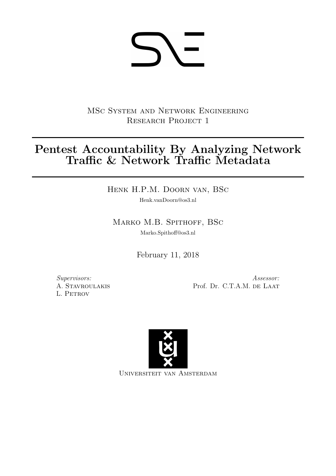# **SV-**

MSc System and Network Engineering RESEARCH PROJECT 1

# Pentest Accountability By Analyzing Network Traffic & Network Traffic Metadata

Henk H.P.M. Doorn van, BSc

Henk.vanDoorn@os3.nl

MARKO M.B. SPITHOFF, BSC

Marko.Spithoff@os3.nl

February 11, 2018

Supervisors: A. Stavroulakis L. Petrov

Assessor: Prof. Dr. C.T.A.M. DE LAAT



Universiteit van Amsterdam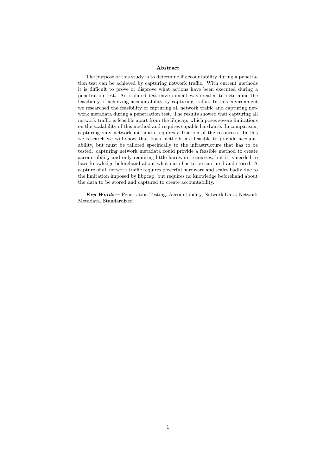#### Abstract

The purpose of this study is to determine if accountability during a penetration test can be achieved by capturing network traffic. With current methods it is difficult to prove or disprove what actions have been executed during a penetration test. An isolated test environment was created to determine the feasibility of achieving accountability by capturing traffic. In this environment we researched the feasibility of capturing all network traffic and capturing network metadata during a penetration test. The results showed that capturing all network traffic is feasible apart from the libpcap, which poses severe limitations on the scalability of this method and requires capable hardware. In comparison, capturing only network metadata requires a fraction of the resources. In this we research we will show that both methods are feasible to provide accountability, but must be tailored specifically to the infrastructure that has to be tested. capturing network metadata could provide a feasible method to create accountability and only requiring little hardware recourses, but it is needed to have knowledge beforehand about what data has to be captured and stored. A capture of all network traffic requires powerful hardware and scales badly due to the limitation imposed by libpcap, but requires no knowledge beforehand about the data to be stored and captured to create accountability.

Key Words— Penetration Testing, Accountability, Network Data, Network Metadata, Standardized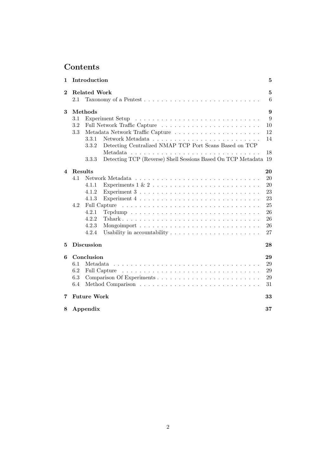# Contents

| 1        | Introduction                                                                           | 5      |
|----------|----------------------------------------------------------------------------------------|--------|
| $\bf{2}$ | <b>Related Work</b><br>2.1                                                             | 5<br>6 |
| 3        | Methods                                                                                | 9      |
|          | 3.1                                                                                    | 9      |
|          | 3.2                                                                                    | 10     |
|          | 3.3                                                                                    | 12     |
|          | 3.3.1                                                                                  | 14     |
|          | Detecting Centralized NMAP TCP Port Scans Based on TCP<br>3.3.2                        |        |
|          |                                                                                        | 18     |
|          | Detecting TCP (Reverse) Shell Sessions Based On TCP Metadata<br>3.3.3                  | 19     |
| 4        | Results                                                                                | 20     |
|          | 4.1                                                                                    | 20     |
|          | Experiments $1 \& 2 \ldots \ldots \ldots \ldots \ldots \ldots \ldots \ldots$<br>4.1.1  | 20     |
|          | 4.1.2<br>Experiment $3 \ldots \ldots \ldots \ldots \ldots \ldots \ldots \ldots \ldots$ | 23     |
|          | Experiment $4 \ldots \ldots \ldots \ldots \ldots \ldots \ldots \ldots \ldots$<br>4.1.3 | 23     |
|          | 4.2                                                                                    | 25     |
|          | 4.2.1                                                                                  | 26     |
|          | 4.2.2                                                                                  | 26     |
|          | 4.2.3<br>Mongoimport $\ldots \ldots \ldots \ldots \ldots \ldots \ldots \ldots \ldots$  | 26     |
|          | 4.2.4                                                                                  | 27     |
| 5        | <b>Discussion</b>                                                                      | 28     |
| 6        | Conclusion                                                                             | 29     |
|          | 6.1<br>Metadata                                                                        | 29     |
|          | 6.2                                                                                    | 29     |
|          | 6.3                                                                                    | 29     |
|          | 6.4                                                                                    | 31     |
| 7        | <b>Future Work</b>                                                                     | 33     |
| 8        | Appendix                                                                               | 37     |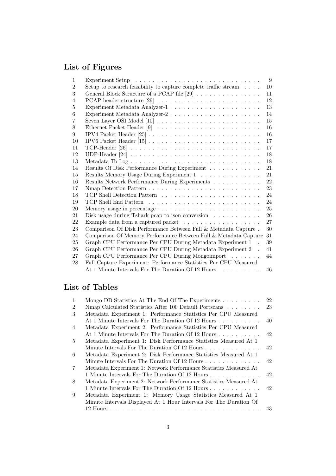# List of Figures

| $\mathbf{1}$   |                                                                             | 9      |
|----------------|-----------------------------------------------------------------------------|--------|
| $\overline{2}$ | Setup to research feasibility to capture complete traffic stream $\ldots$ . | 10     |
| 3              | General Block Structure of a PCAP file $[29]$                               | 11     |
| $\overline{4}$ |                                                                             | 12     |
| 5              |                                                                             | 13     |
| 6              |                                                                             | 14     |
| 7              |                                                                             | 15     |
| 8              |                                                                             | 16     |
| 9              |                                                                             | 16     |
| 10             |                                                                             | 17     |
| 11             |                                                                             | 17     |
| 12             |                                                                             | 18     |
| 13             |                                                                             | 18     |
| 14             |                                                                             | 21     |
| 15             | Results Memory Usage During Experiment 1                                    | 21     |
| 16             | Results Network Performance During Experiments                              | 22     |
| 17             |                                                                             | 23     |
| 18             |                                                                             | 24     |
| 19             |                                                                             | 24     |
| 20             |                                                                             | $25\,$ |
| 21             | Disk usage during Tshark pcap to json conversion $\ldots \ldots \ldots$     | 26     |
| 22             |                                                                             | 27     |
| 23             | Comparison Of Disk Performance Between Full $\&$ Metadata Capture .         | 30     |
| 24             | Comparison Of Memory Performance Between Full & Metadata Capture            | 31     |
| 25             | Graph CPU Performance Per CPU During Metadata Experiment 1                  | 39     |
| 26             | Graph CPU Performance Per CPU During Metadata Experiment 2.                 | 41     |
| 27             | Graph CPU Performance Per CPU During Mongoimport                            | 44     |
| 28             | Full Capture Experiment: Performance Statistics Per CPU Measured            |        |
|                | At 1 Minute Intervals For The Duration Of 12 Hours                          | 46     |

# List of Tables

| $\mathbf{1}$   | Mongo DB Statistics At The End Of The Experiments $\ldots \ldots \ldots$ | 22 |
|----------------|--------------------------------------------------------------------------|----|
| $\mathfrak{D}$ | Nmap Calculated Statistics After 100 Default Portscans                   | 23 |
| 3              | Metadata Experiment 1: Performance Statistics Per CPU Measured           |    |
|                | At 1 Minute Intervals For The Duration Of 12 Hours                       | 40 |
| $\overline{4}$ | Metadata Experiment 2: Performance Statistics Per CPU Measured           |    |
|                | At 1 Minute Intervals For The Duration Of 12 Hours                       | 42 |
| 5              | Metadata Experiment 1: Disk Performance Statistics Measured At 1         |    |
|                | Minute Intervals For The Duration Of 12 Hours                            | 42 |
| 6              | Metadata Experiment 2: Disk Performance Statistics Measured At 1         |    |
|                | Minute Intervals For The Duration Of 12 Hours                            | 42 |
| $\overline{7}$ | Metadata Experiment 1: Network Performance Statistics Measured At        |    |
|                | 1 Minute Intervals For The Duration Of 12 Hours                          | 42 |
| 8              | Metadata Experiment 2: Network Performance Statistics Measured At        |    |
|                | 1 Minute Intervals For The Duration Of 12 Hours                          | 42 |
| 9              | Metadata Experiment 1: Memory Usage Statistics Measured At 1             |    |
|                | Minute Intervals Displayed At 1 Hour Intervals For The Duration Of       |    |
|                |                                                                          | 43 |
|                |                                                                          |    |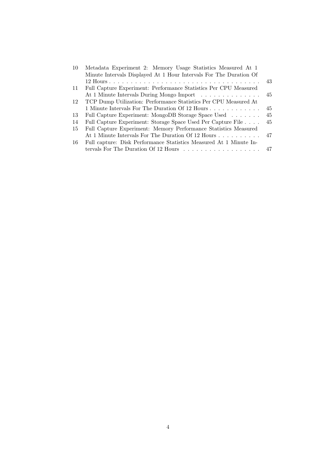| <sup>10</sup> | Metadata Experiment 2: Memory Usage Statistics Measured At 1                        |     |
|---------------|-------------------------------------------------------------------------------------|-----|
|               | Minute Intervals Displayed At 1 Hour Intervals For The Duration Of                  |     |
|               |                                                                                     | 43  |
| -11           | Full Capture Experiment: Performance Statistics Per CPU Measured                    |     |
|               | At 1 Minute Intervals During Mongo Import                                           | -45 |
| 12            | TCP Dump Utilization: Performance Statistics Per CPU Measured At                    |     |
|               | 1 Minute Intervals For The Duration Of 12 Hours                                     | 45  |
| -13           | Full Capture Experiment: MongoDB Storage Space Used                                 | 45  |
| -14           | Full Capture Experiment: Storage Space Used Per Capture File                        | 45  |
| -15           | Full Capture Experiment: Memory Performance Statistics Measured                     |     |
|               | At 1 Minute Intervals For The Duration Of 12 Hours 47                               |     |
| -16           | Full capture: Disk Performance Statistics Measured At 1 Minute In-                  |     |
|               | tervals For The Duration Of 12 Hours $\dots \dots \dots \dots \dots \dots \dots$ 47 |     |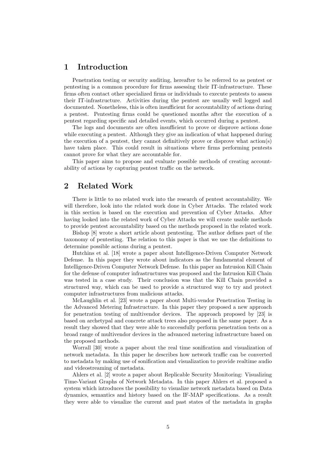# <span id="page-5-0"></span>1 Introduction

Penetration testing or security auditing, hereafter to be referred to as pentest or pentesting is a common procedure for firms assessing their IT-infrastructure. These firms often contact other specialized firms or individuals to execute pentests to assess their IT-infrastructure. Activities during the pentest are usually well logged and documented. Nonetheless, this is often insufficient for accountability of actions during a pentest. Pentesting firms could be questioned months after the execution of a pentest regarding specific and detailed events, which occurred during a pentest.

The logs and documents are often insufficient to prove or disprove actions done while executing a pentest. Although they give an indication of what happened during the execution of a pentest, they cannot definitively prove or disprove what action(s) have taken place. This could result in situations where firms performing pentests cannot prove for what they are accountable for.

This paper aims to propose and evaluate possible methods of creating accountability of actions by capturing pentest traffic on the network.

## <span id="page-5-1"></span>2 Related Work

There is little to no related work into the research of pentest accountability. We will therefore, look into the related work done in Cyber Attacks. The related work in this section is based on the execution and prevention of Cyber Attacks. After having looked into the related work of Cyber Attacks we will create usable methods to provide pentest accountability based on the methods proposed in the related work.

Bishop [\[8\]](#page-34-3) wrote a short article about pentesting. The author defines part of the taxonomy of pentesting. The relation to this paper is that we use the definitions to determine possible actions during a pentest.

Hutchins et al. [\[18\]](#page-35-3) wrote a paper about Intelligence-Driven Computer Network Defense. In this paper they wrote about indicators as the fundamental element of Intelligence-Driven Computer Network Defense. In this paper an Intrusion Kill Chain for the defense of computer infrastructures was proposed and the Intrusion Kill Chain was tested in a case study. Their conclusion was that the Kill Chain provided a structured way, which can be used to provide a structured way to try and protect computer infrastructures from malicious attacks.

McLaughlin et al. [\[23\]](#page-35-4) wrote a paper about Multi-vendor Penetration Testing in the Advanced Metering Infrastructure. In this paper they proposed a new approach for penetration testing of multivendor devices. The approach proposed by [\[23\]](#page-35-4) is based on archetypal and concrete attack trees also proposed in the same paper. As a result they showed that they were able to successfully perform penetration tests on a broad range of multivendor devices in the advanced metering infrastructure based on the proposed methods.

Worrall [\[30\]](#page-36-1) wrote a paper about the real time sonification and visualization of network metadata. In this paper he describes how network traffic can be converted to metadata by making use of sonification and visualization to provide realtime audio and videostreaming of metadata.

Ahlers et al. [\[2\]](#page-34-4) wrote a paper about Replicable Security Monitoring: Visualizing Time-Variant Graphs of Network Metadata. In this paper [Ahlers et al.](#page-34-4) proposed a system which introduces the possibility to visualize network metadata based on Data dynamics, semantics and history based on the IF-MAP specifications. As a result they were able to visualize the current and past states of the metadata in graphs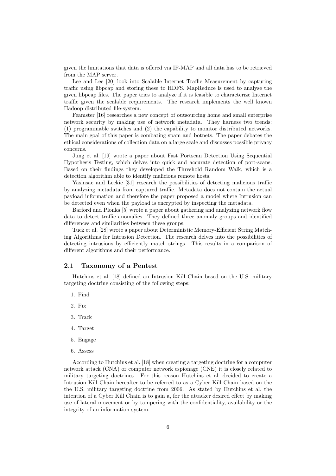given the limitations that data is offered via IF-MAP and all data has to be retrieved from the MAP server.

Lee and Lee [\[20\]](#page-35-5) look into Scalable Internet Traffic Measurement by capturing traffic using libpcap and storing these to HDFS. MapReduce is used to analyse the given libpcap files. The paper tries to analyze if it is feasible to characterize Internet traffic given the scalable requirements. The research implements the well known Hadoop distributed file-system.

Feamster [\[16\]](#page-35-6) researches a new concept of outsourcing home and small enterprise network security by making use of network metadata. They harness two trends: (1) programmable switches and (2) the capability to monitor distributed networks. The main goal of this paper is combating spam and botnets. The paper debates the ethical considerations of collection data on a large scale and discusses possible privacy concerns.

Jung et al. [\[19\]](#page-35-7) wrote a paper about Fast Portscan Detection Using Sequential Hypothesis Testing, which delves into quick and accurate detection of port-scans. Based on their findings they developed the Threshold Random Walk, which is a detection algorithm able to identify malicious remote hosts.

Yasinsac and Leckie [\[31\]](#page-36-2) research the possibilities of detecting malicious traffic by analyzing metadata from captured traffic. Metadata does not contain the actual payload information and therefore the paper proposed a model where Intrusion can be detected even when the payload is encrypted by inspecting the metadata.

Barford and Plonka [\[5\]](#page-34-5) wrote a paper about gathering and analyzing network flow data to detect traffic anomalies. They defined three anomaly groups and identified differences and similarities between these groups.

Tuck et al. [\[28\]](#page-35-8) wrote a paper about Deterministic Memory-Efficient String Matching Algorithms for Intrusion Detection. The research delves into the possibilities of detecting intrusions by efficiently match strings. This results in a comparison of different algorithms and their performance.

#### <span id="page-6-0"></span>2.1 Taxonomy of a Pentest

Hutchins et al. [\[18\]](#page-35-3) defined an Intrusion Kill Chain based on the U.S. military targeting doctrine consisting of the following steps:

- 1. Find
- 2. Fix
- 3. Track
- 4. Target
- 5. Engage
- 6. Assess

According to Hutchins et al. [\[18\]](#page-35-3) when creating a targeting doctrine for a computer network attack (CNA) or computer network espionage (CNE) it is closely related to military targeting doctrines. For this reason [Hutchins et al.](#page-35-3) decided to create a Intrusion Kill Chain hereafter to be referred to as a Cyber Kill Chain based on the the U.S. military targeting doctrine from 2006. As stated by [Hutchins et al.](#page-35-3) the intention of a Cyber Kill Chain is to gain a, for the attacker desired effect by making use of lateral movement or by tampering with the confidentiality, availability or the integrity of an information system.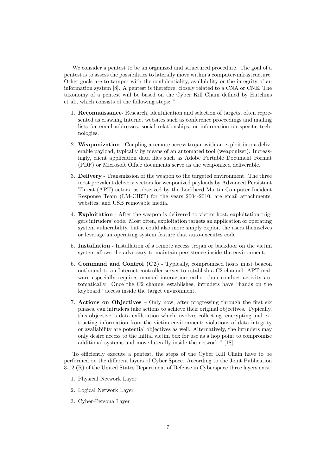We consider a pentest to be an organized and structured procedure. The goal of a pentest is to assess the possibilities to laterally move within a computer-infrastructure. Other goals are to tamper with the confidentiality, availability or the integrity of an information system [\[8\]](#page-34-3). A pentest is therefore, closely related to a CNA or CNE. The taxonomy of a pentest will be based on the Cyber Kill Chain defined by [Hutchins](#page-35-3) [et al.,](#page-35-3) which consists of the following steps: "

- 1. Reconnaissance- Research, identification and selection of targets, often represented as crawling Internet websites such as conference proceedings and mailing lists for email addresses, social relationships, or information on specific technologies.
- 2. Weaponization Coupling a remote access trojan with an exploit into a deliverable payload, typically by means of an automated tool (weaponizer). Increasingly, client application data files such as Adobe Portable Document Format (PDF) or Microsoft Office documents serve as the weaponized deliverable.
- 3. Delivery Transmission of the weapon to the targeted environment. The three most prevalent delivery vectors for weaponized payloads by Advanced Persistant Threat (APT) actors, as observed by the Lockheed Martin Computer Incident Response Team (LM-CIRT) for the years 2004-2010, are email attachments, websites, and USB removable media.
- 4. Exploitation After the weapon is delivered to victim host, exploitation triggers intruders' code. Most often, exploitation targets an application or operating system vulnerability, but it could also more simply exploit the users themselves or leverage an operating system feature that auto-executes code.
- 5. Installation Installation of a remote access trojan or backdoor on the victim system allows the adversary to maintain persistence inside the environment.
- 6. Command and Control (C2) Typically, compromised hosts must beacon outbound to an Internet controller server to establish a C2 channel. APT malware especially requires manual interaction rather than conduct activity automatically. Once the C2 channel establishes, intruders have "hands on the keyboard" access inside the target environment.
- 7. Actions on Objectives Only now, after progressing through the first six phases, can intruders take actions to achieve their original objectives. Typically, this objective is data exfiltration which involves collecting, encrypting and extracting information from the victim environment; violations of data integrity or availability are potential objectives as well. Alternatively, the intruders may only desire access to the initial victim box for use as a hop point to compromise additional systems and move laterally inside the network." [\[18\]](#page-35-3)

To efficiently execute a pentest, the steps of the Cyber Kill Chain have to be performed on the different layers of Cyber Space. According to the Joint Publication 3-12 (R) of the United States Department of Defense in Cyberspace three layers exist:

- 1. Physical Network Layer
- 2. Logical Network Layer
- 3. Cyber-Persona Layer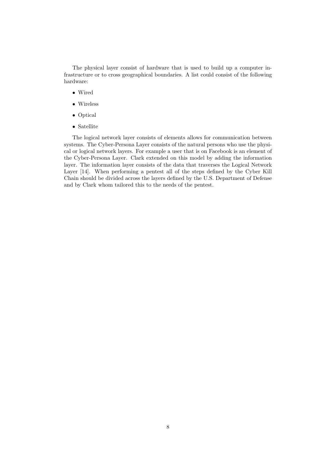The physical layer consist of hardware that is used to build up a computer infrastructure or to cross geographical boundaries. A list could consist of the following hardware:

- Wired
- Wireless
- Optical
- Satellite

The logical network layer consists of elements allows for communication between systems. The Cyber-Persona Layer consists of the natural persons who use the physical or logical network layers. For example a user that is on Facebook is an element of the Cyber-Persona Layer. [Clark](#page-34-6) extended on this model by adding the information layer. The information layer consists of the data that traverses the Logical Network Layer [\[14\]](#page-34-6). When performing a pentest all of the steps defined by the Cyber Kill Chain should be divided across the layers defined by the U.S. Department of Defense and by [Clark](#page-34-6) whom tailored this to the needs of the pentest.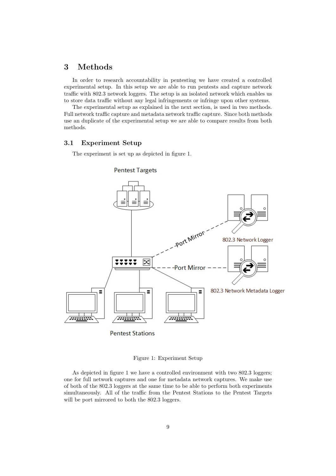# <span id="page-9-0"></span>3 Methods

In order to research accountability in pentesting we have created a controlled experimental setup. In this setup we are able to run pentests and capture network traffic with 802.3 network loggers. The setup is an isolated network which enables us to store data traffic without any legal infringements or infringe upon other systems.

The experimental setup as explained in the next section, is used in two methods. Full network traffic capture and metadata network traffic capture. Since both methods use an duplicate of the experimental setup we are able to compare results from both methods.

#### <span id="page-9-1"></span>3.1 Experiment Setup

The experiment is set up as depicted in figure [1.](#page-9-2)



<span id="page-9-2"></span>Figure 1: Experiment Setup

As depicted in figure [1](#page-9-2) we have a controlled environment with two 802.3 loggers; one for full network captures and one for metadata network captures. We make use of both of the 802.3 loggers at the same time to be able to perform both experiments simultaneously. All of the traffic from the Pentest Stations to the Pentest Targets will be port mirrored to both the 802.3 loggers.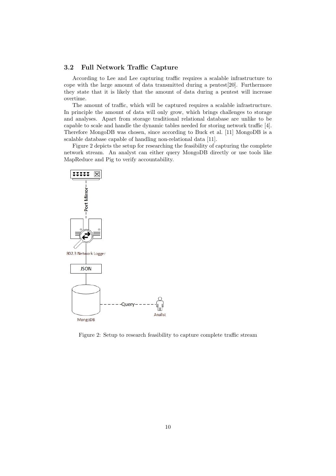#### <span id="page-10-0"></span>3.2 Full Network Traffic Capture

According to [Lee and Lee](#page-35-5) capturing traffic requires a scalable infrastructure to cope with the large amount of data transmitted during a pentest[\[20\]](#page-35-5). Furthermore they state that it is likely that the amount of data during a pentest will increase overtime.

The amount of traffic, which will be captured requires a scalable infrastructure. In principle the amount of data will only grow, which brings challenges to storage and analyses. Apart from storage traditional relational database are unlike to be capable to scale and handle the dynamic tables needed for storing network traffic [\[4\]](#page-34-7). Therefore MongoDB was chosen, since according to Buck et al. [\[11\]](#page-34-8) MongoDB is a scalable database capable of handling non-relational data [\[11\]](#page-34-8).

Figure [2](#page-10-1) depicts the setup for researching the feasibility of capturing the complete network stream. An analyst can either query MongoDB directly or use tools like MapReduce and Pig to verify accountability.



<span id="page-10-1"></span>Figure 2: Setup to research feasibility to capture complete traffic stream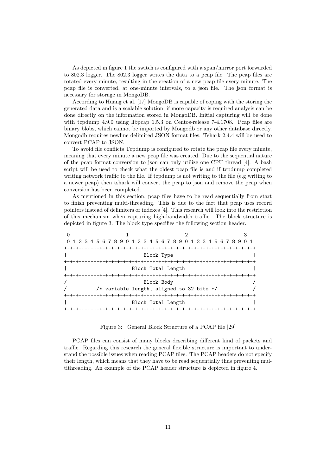As depicted in figure [1](#page-9-2) the switch is configured with a span/mirror port forwarded to 802.3 logger. The 802.3 logger writes the data to a pcap file. The pcap files are rotated every minute, resulting in the creation of a new pcap file every minute. The pcap file is converted, at one-minute intervals, to a json file. The json format is necessary for storage in MongoDB.

According to Huang et al. [\[17\]](#page-35-9) MongoDB is capable of coping with the storing the generated data and is a scalable solution, if more capacity is required analysis can be done directly on the information stored in MongoDB. Initial capturing will be done with tcpdump 4.9.0 using libpcap 1.5.3 on Centos-release 7-4.1708. Pcap files are binary blobs, which cannot be imported by Mongodb or any other database directly. Mongodb requires newline delimited JSON format files. Tshark 2.4.4 will be used to convert PCAP to JSON.

To avoid file conflicts Tcpdump is configured to rotate the pcap file every minute, meaning that every minute a new pcap file was created. Due to the sequential nature of the pcap format conversion to json can only utilize one CPU thread [\[4\]](#page-34-7). A bash script will be used to check what the oldest pcap file is and if tcpdump completed writing network traffic to the file. If tcpdump is not writing to the file (e.g writing to a newer pcap) then tshark will convert the pcap to json and remove the pcap when conversion has been completed.

As mentioned in this section, pcap files have to be read sequentially from start to finish preventing multi-threading. This is due to the fact that pcap uses record pointers instead of delimiters or indexes [\[4\]](#page-34-7). This research will look into the restriction of this mechanism when capturing high-bandwidth traffic. The block structure is depicted in figure [3.](#page-11-0) The block type specifies the following section header.

| 0 1 2 3 4 5 6 7 8 9 0 1 2 3 4 5 6 7 8 9 0 1 2 3 4 5 6 7 8 9 0 1 |                                             |  |
|-----------------------------------------------------------------|---------------------------------------------|--|
|                                                                 |                                             |  |
|                                                                 | Block Type                                  |  |
|                                                                 |                                             |  |
|                                                                 | Block Total Length                          |  |
|                                                                 |                                             |  |
|                                                                 | Block Body                                  |  |
|                                                                 | /* variable length, aligned to 32 bits $*/$ |  |
|                                                                 |                                             |  |
|                                                                 | Block Total Length                          |  |
|                                                                 | -+-+-+-+-+-+-+-+-+-+-+                      |  |

Figure 3: General Block Structure of a PCAP file [\[29\]](#page-36-0)

<span id="page-11-0"></span>PCAP files can consist of many blocks describing different kind of packets and traffic. Regarding this research the general flexible structure is important to understand the possible issues when reading PCAP files. The PCAP headers do not specify their length, which means that they have to be read sequentially thus preventing multithreading. An example of the PCAP header structure is depicted in figure [4.](#page-12-1)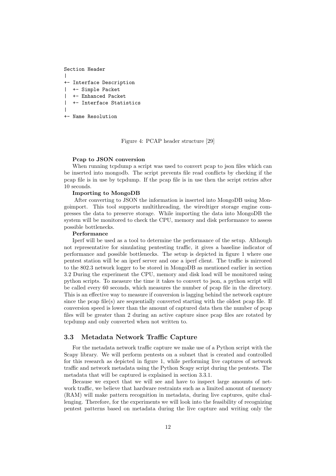```
Section Header
|
+- Interface Description
| +- Simple Packet
| +- Enhanced Packet
| +- Interface Statistics
|
+- Name Resolution
```
Figure 4: PCAP header structure [\[29\]](#page-36-0)

#### <span id="page-12-1"></span>Pcap to JSON conversion

When running tcpdump a script was used to convert pcap to json files which can be inserted into mongodb. The script prevents file read conflicts by checking if the pcap file is in use by tcpdump. If the pcap file is in use then the script retries after 10 seconds.

#### Importing to MongoDB

After converting to JSON the information is inserted into MongoDB using Mongoimport. This tool supports multithreading, the wiredtiger storage engine compresses the data to preserve storage. While importing the data into MongoDB the system will be monitored to check the CPU, memory and disk performance to assess possible bottlenecks.

#### Performance

Iperf will be used as a tool to determine the performance of the setup. Although not representative for simulating pentesting traffic, it gives a baseline indicator of performance and possible bottlenecks. The setup is depicted in figure [1](#page-9-2) where one pentest station will be an iperf server and one a iperf client. The traffic is mirrored to the 802.3 network logger to be stored in MongoDB as mentioned earlier in section [3.2](#page-10-0) During the experiment the CPU, memory and disk load will be monitored using python scripts. To measure the time it takes to convert to json, a python script will be called every 60 seconds, which measures the number of pcap file in the directory. This is an effective way to measure if conversion is lagging behind the network capture since the pcap file(s) are sequentially converted starting with the oldest pcap file. If conversion speed is lower than the amount of captured data then the number of pcap files will be greater than 2 during an active capture since pcap files are rotated by tcpdump and only converted when not written to.

#### <span id="page-12-0"></span>3.3 Metadata Network Traffic Capture

For the metadata network traffic capture we make use of a Python script with the Scapy library. We will perform pentests on a subnet that is created and controlled for this research as depicted in figure [1,](#page-9-2) while performing live captures of network traffic and network metadata using the Python Scapy script during the pentests. The metadata that will be captured is explained in section [3.3.1.](#page-14-0)

Because we expect that we will see and have to inspect large amounts of network traffic, we believe that hardware restraints such as a limited amount of memory (RAM) will make pattern recognition in metadata, during live captures, quite challenging. Therefore, for the experiments we will look into the feasibility of recognizing pentest patterns based on metadata during the live capture and writing only the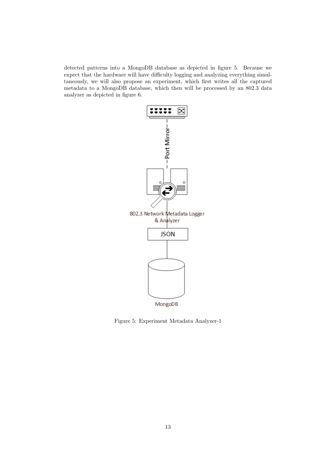detected patterns into a MongoDB database as depicted in figure [5.](#page-13-0) Because we expect that the hardware will have difficulty logging and analyzing everything simultaneously, we will also propose an experiment, which first writes all the captured metadata to a MongoDB database, which then will be processed by an 802.3 data analyzer as depicted in figure [6.](#page-14-1)



<span id="page-13-0"></span>Figure 5: Experiment Metadata Analyzer-1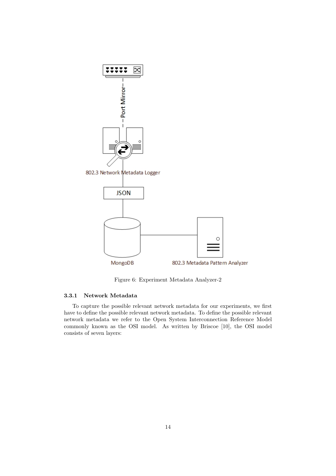

<span id="page-14-1"></span>Figure 6: Experiment Metadata Analyzer-2

#### <span id="page-14-0"></span>3.3.1 Network Metadata

To capture the possible relevant network metadata for our experiments, we first have to define the possible relevant network metadata. To define the possible relevant network metadata we refer to the Open System Interconnection Reference Model commonly known as the OSI model. As written by Briscoe [\[10\]](#page-34-0), the OSI model consists of seven layers: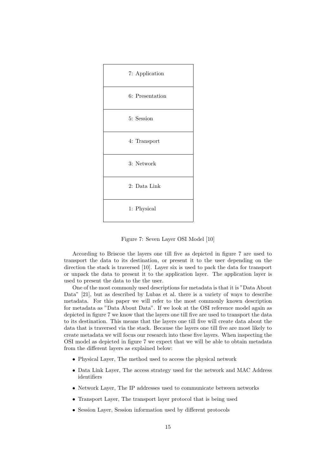

Figure 7: Seven Layer OSI Model [\[10\]](#page-34-0)

<span id="page-15-0"></span>According to [Briscoe](#page-34-0) the layers one till five as depicted in figure [7](#page-15-0) are used to transport the data to its destination, or present it to the user depending on the direction the stack is traversed [\[10\]](#page-34-0). Layer six is used to pack the data for transport or unpack the data to present it to the application layer. The application layer is used to present the data to the the user.

One of the most commonly used descriptions for metadata is that it is "Data About Data" [\[21\]](#page-35-10), but as described by [Lubas et al.](#page-35-10) there is a variety of ways to describe metadata. For this paper we will refer to the most commonly known description for metadata as "Data About Data". If we look at the OSI reference model again as depicted in figure [7](#page-15-0) we know that the layers one till five are used to transport the data to its destination. This means that the layers one till five will create data about the data that is traversed via the stack. Because the layers one till five are most likely to create metadata we will focus our research into these five layers. When inspecting the OSI model as depicted in figure [7](#page-15-0) we expect that we will be able to obtain metadata from the different layers as explained below:

- Physical Layer, The method used to access the physical network
- Data Link Layer, The access strategy used for the network and MAC Address identifiers
- Network Layer, The IP addresses used to communicate between networks
- Transport Layer, The transport layer protocol that is being used
- Session Layer, Session information used by different protocols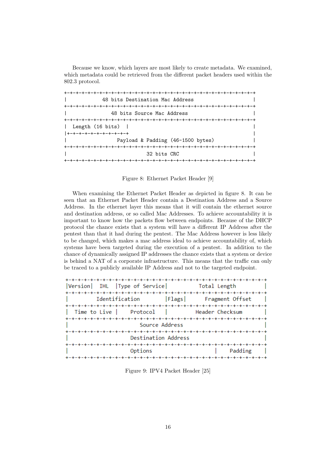Because we know, which layers are most likely to create metadata. We examined, which metadata could be retrieved from the different packet headers used within the 802.3 protocol.

| 48 bits Destination Mac Address    |
|------------------------------------|
|                                    |
| 48 bits Source Mac Address         |
|                                    |
| Length (16 bits)  <br>$\mathbf{L}$ |
| +-+-+-+-+-+-+-+-+-+-+              |
| Payload & Padding (46-1500 bytes)  |
|                                    |
| 32 bits CRC                        |
|                                    |

Figure 8: Ethernet Packet Header [\[9\]](#page-34-1)

<span id="page-16-0"></span>When examining the Ethernet Packet Header as depicted in figure [8.](#page-16-0) It can be seen that an Ethernet Packet Header contain a Destination Address and a Source Address. In the ethernet layer this means that it will contain the ethernet source and destination address, or so called Mac Addresses. To achieve accountability it is important to know how the packets flow between endpoints. Because of the DHCP protocol the chance exists that a system will have a different IP Address after the pentest than that it had during the pentest. The Mac Address however is less likely to be changed, which makes a mac address ideal to achieve accountability of, which systems have been targeted during the execution of a pentest. In addition to the chance of dynamically assigned IP addresses the chance exists that a system or device is behind a NAT of a corporate infrastructure. This means that the traffic can only be traced to a publicly available IP Address and not to the targeted endpoint.

| Version IHL Type of Service Total Length                                                            |  |                 |  |  |
|-----------------------------------------------------------------------------------------------------|--|-----------------|--|--|
| -+-+-+-+-+-+-+-+-+-+-+-+-+-+-+-+-+-+-+-<br>-+-+-+-+-+<br>  Flags  Fragment Offset<br>Identification |  |                 |  |  |
| Time to Live   Protocol                                                                             |  | Header Checksum |  |  |
| Source Address                                                                                      |  |                 |  |  |
| Destination Address                                                                                 |  |                 |  |  |
| Padding<br>Options                                                                                  |  |                 |  |  |
|                                                                                                     |  |                 |  |  |

<span id="page-16-1"></span>Figure 9: IPV4 Packet Header [\[25\]](#page-35-0)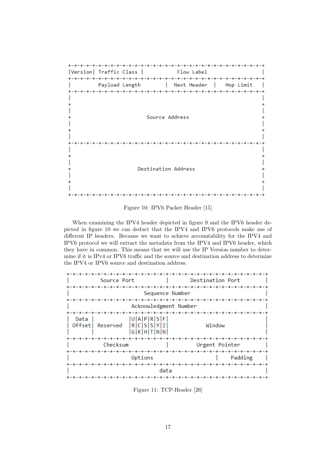

<span id="page-17-0"></span>Figure 10: IPV6 Packet Header [\[15\]](#page-34-2)

When examining the IPV4 header depicted in figure [9](#page-16-1) and the IPV6 header depicted in figure [10](#page-17-0) we can deduct that the IPV4 and IPV6 protocols make use of different IP headers. Because we want to achieve accountability for the IPV4 and IPV6 protocol we will extract the metadata from the IPV4 and IPV6 header, which they have in common. This means that we will use the IP Version number to determine if it is IPv4 or IPV6 traffic and the source and destination address to determine the IPV4 or IPV6 source and destination address.

|                             | Source Port                                  | Destination Port      |  |  |
|-----------------------------|----------------------------------------------|-----------------------|--|--|
|                             |                                              |                       |  |  |
|                             |                                              | Sequence Number       |  |  |
|                             |                                              |                       |  |  |
|                             |                                              | Acknowledgment Number |  |  |
|                             |                                              |                       |  |  |
| Data<br>Offsetl<br>Reserved | U A P R S F <br>R[C S[S Y I]<br> G K H T N N | Window                |  |  |
|                             |                                              |                       |  |  |
|                             | Checksum                                     | Urgent Pointer        |  |  |
|                             |                                              |                       |  |  |
| Options<br>Padding          |                                              |                       |  |  |
| -+-+-+-+                    |                                              |                       |  |  |
| data                        |                                              |                       |  |  |
|                             |                                              |                       |  |  |

<span id="page-17-1"></span>Figure 11: TCP-Header [\[26\]](#page-35-1)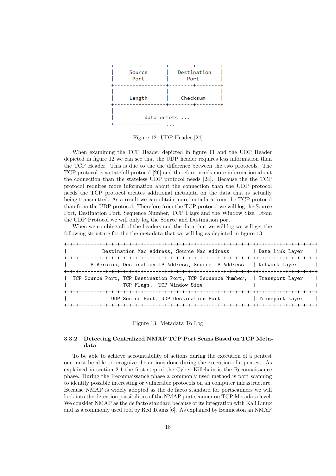

<span id="page-18-1"></span>Figure 12: UDP-Header [\[24\]](#page-35-2)

When examining the TCP Header depicted in figure [11](#page-17-1) and the UDP Header depicted in figure [12](#page-18-1) we can see that the UDP header requires less information than the TCP Header. This is due to the the difference between the two protocols. The TCP protocol is a statefull protocol [\[26\]](#page-35-1) and therefore, needs more information about the connection than the stateless UDP protocol needs [\[24\]](#page-35-2). Because the the TCP protocol requires more information about the connection than the UDP protocol needs the TCP protocol creates additional metadata on the data that is actually being transmitted. As a result we can obtain more metadata from the TCP protocol than from the UDP protocol. Therefore from the TCP protocol we will log the Source Port, Destination Port, Sequence Number, TCP Flags and the Window Size. From the UDP Protocol we will only log the Source and Destination port.

When we combine all of the headers and the data that we will log we will get the following structure for the the metadata that we will log as depicted in figure [13](#page-18-2)

| Destination Mac Address, Source Mac Address                                                                 | Data Link Layer                    |
|-------------------------------------------------------------------------------------------------------------|------------------------------------|
| IP Version, Destination IP Address, Source IP Address   Network Layer                                       |                                    |
| TCP Source Port, TCP Destination Port, TCP Sequence Number,   Transport Layer<br>TCP Flags, TCP Window Size |                                    |
| UDP Source Port, UDP Destination Port                                                                       | Transport Layer<br>-+-+-+-+-+-+-+- |

Figure 13: Metadata To Log

#### <span id="page-18-2"></span><span id="page-18-0"></span>3.3.2 Detecting Centralized NMAP TCP Port Scans Based on TCP Metadata

To be able to achieve accountability of actions during the execution of a pentest one must be able to recognize the actions done during the execution of a pentest. As explained in section [2.1](#page-6-0) the first step of the Cyber Killchain is the Reconnaissance phase. During the Reconnaissance phase a commonly used method is port scanning to identify possible interesting or vulnerable protocols on an computer infrastructure. Because NMAP is widely adopted as the de facto standard for portscanners we will look into the detection possibilities of the NMAP port scanner on TCP Metadata level. We consider NMAP as the de facto standard because of its integration with Kali Linux and as a commonly used tool by Red Teams [\[6\]](#page-34-9). As explained by [Bennieston](#page-34-10) an NMAP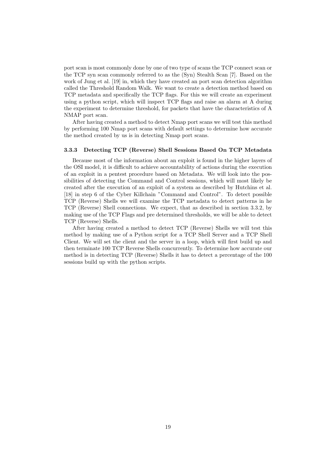port scan is most commonly done by one of two type of scans the TCP connect scan or the TCP syn scan commonly referred to as the (Syn) Stealth Scan [\[7\]](#page-34-10). Based on the work of Jung et al. [\[19\]](#page-35-7) in, which they have created an port scan detection algorithm called the Threshold Random Walk. We want to create a detection method based on TCP metadata and specifically the TCP flags. For this we will create an experiment using a python script, which will inspect TCP flags and raise an alarm at A during the experiment to determine threshold, for packets that have the characteristics of A NMAP port scan.

After having created a method to detect Nmap port scans we will test this method by performing 100 Nmap port scans with default settings to determine how accurate the method created by us is in detecting Nmap port scans.

#### <span id="page-19-0"></span>3.3.3 Detecting TCP (Reverse) Shell Sessions Based On TCP Metadata

Because most of the information about an exploit is found in the higher layers of the OSI model, it is difficult to achieve accountability of actions during the execution of an exploit in a pentest procedure based on Metadata. We will look into the possibilities of detecting the Command and Control sessions, which will most likely be created after the execution of an exploit of a system as described by Hutchins et al. [\[18\]](#page-35-3) in step 6 of the Cyber Killchain "Command and Control". To detect possible TCP (Reverse) Shells we will examine the TCP metadata to detect patterns in he TCP (Reverse) Shell connections. We expect, that as described in section [3.3.2,](#page-18-0) by making use of the TCP Flags and pre determined thresholds, we will be able to detect TCP (Reverse) Shells.

After having created a method to detect TCP (Reverse) Shells we will test this method by making use of a Python script for a TCP Shell Server and a TCP Shell Client. We will set the client and the server in a loop, which will first build up and then terminate 100 TCP Reverse Shells concurrently. To determine how accurate our method is in detecting TCP (Reverse) Shells it has to detect a percentage of the 100 sessions build up with the python scripts.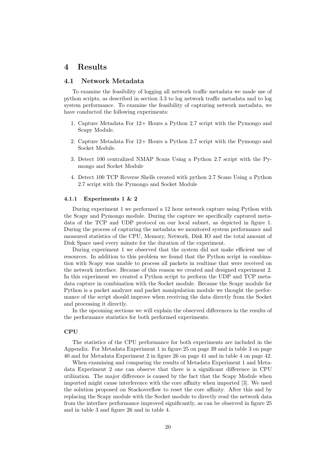## <span id="page-20-0"></span>4 Results

#### <span id="page-20-1"></span>4.1 Network Metadata

To examine the feasibility of logging all network traffic metadata we made use of python scripts, as described in section [3.3](#page-12-0) to log network traffic metadata and to log system performance. To examine the feasibility of capturing network metadata, we have conducted the following experiments:

- <span id="page-20-3"></span>1. Capture Metadata For 12+ Hours a Python 2.7 script with the Pymongo and Scapy Module.
- <span id="page-20-4"></span>2. Capture Metadata For 12+ Hours a Python 2.7 script with the Pymongo and Socket Module.
- <span id="page-20-5"></span>3. Detect 100 centralized NMAP Scans Using a Python 2.7 script with the Pymongo and Socket Module
- <span id="page-20-6"></span>4. Detect 100 TCP Reverse Shells created with python 2.7 Scans Using a Python 2.7 script with the Pymongo and Socket Module

#### <span id="page-20-2"></span>4.1.1 Experiments [1](#page-20-3) & [2](#page-20-4)

During experiment [1](#page-20-3) we performed a 12 hour network capture using Python with the Scapy and Pymongo module. During the capture we specifically captured metadata of the TCP and UDP protocol on our local subnet, as depicted in figure [1.](#page-9-2) During the process of capturing the metadata we monitored system performance and measured statistics of the CPU, Memory, Network, Disk IO and the total amount of Disk Space used every minute for the duration of the experiment.

During experiment [1](#page-20-3) we observed that the system did not make efficient use of resources. In addition to this problem we found that the Python script in combination with Scapy was unable to process all packets in realtime that were received on the network interface. Because of this reason we created and designed experiment [2.](#page-20-4) In this experiment we created a Python script to perform the UDP and TCP metadata capture in combination with the Socket module. Because the Scapy module for Python is a packet analyzer and packet manipulation module we thought the performance of the script should improve when receiving the data directly from the Socket and processing it directly.

In the upcoming sections we will explain the observed differences in the results of the performance statistics for both performed experiments.

#### CPU

The statistics of the CPU performance for both experiments are included in the Appendix. For Metadata Experiment 1 in figure [25](#page-39-0) on page [39](#page-39-0) and in table [3](#page-40-0) on page [40](#page-40-0) and for Metadata Experiment 2 in figure [26](#page-41-0) on page [41](#page-41-0) and in table [4](#page-42-0) on page [42.](#page-42-0)

When examining and comparing the results of Metadata Experiment 1 and Metadata Experiment 2 one can observe that there is a significant difference in CPU utilization. The major difference is caused by the fact that the Scapy Module when imported might cause interference with the core affinity when imported [\[3\]](#page-34-11). We used the solution proposed on Stackoverflow to reset the core affinity. After this and by replacing the Scapy module with the Socket module to directly read the network data from the interface performance improved significantly, as can be observed in figure [25](#page-39-0) and in table [3](#page-40-0) and figure [26](#page-41-0) and in table [4.](#page-42-0)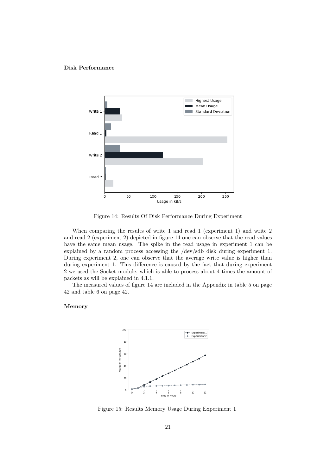#### Disk Performance



<span id="page-21-0"></span>Figure 14: Results Of Disk Performance During Experiment

When comparing the results of write 1 and read 1 (experiment 1) and write 2 and read 2 (experiment 2) depicted in figure [14](#page-21-0) one can observe that the read values have the same mean usage. The spike in the read usage in experiment 1 can be explained by a random process accessing the /dev/sdb disk during experiment 1. During experiment 2, one can observe that the average write value is higher than during experiment 1. This difference is caused by the fact that during experiment 2 we used the Socket module, which is able to process about 4 times the amount of packets as will be explained in [4.1.1.](#page-22-2)

The measured values of figure [14](#page-21-0) are included in the Appendix in table [5](#page-42-1) on page [42](#page-42-1) and table [6](#page-42-2) on page [42.](#page-42-2)

#### Memory



<span id="page-21-1"></span>Figure 15: Results Memory Usage During Experiment 1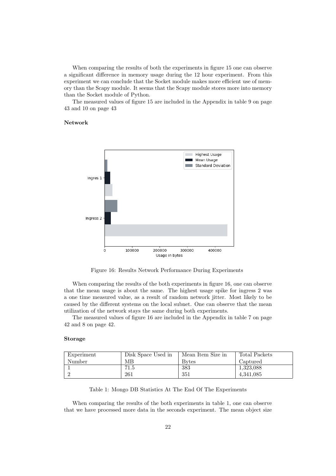When comparing the results of both the experiments in figure [15](#page-21-1) one can observe a significant difference in memory usage during the 12 hour experiment. From this experiment we can conclude that the Socket module makes more efficient use of memory than the Scapy module. It seems that the Scapy module stores more into memory than the Socket module of Python.

The measured values of figure [15](#page-21-1) are included in the Appendix in table [9](#page-43-0) on page [43](#page-43-0) and [10](#page-43-1) on page [43](#page-43-1)

#### Network



<span id="page-22-0"></span>Figure 16: Results Network Performance During Experiments

When comparing the results of the both experiments in figure [16,](#page-22-0) one can observe that the mean usage is about the same. The highest usage spike for ingress 2 was a one time measured value, as a result of random network jitter. Most likely to be caused by the different systems on the local subnet. One can observe that the mean utilization of the network stays the same during both experiments.

The measured values of figure [16](#page-22-0) are included in the Appendix in table [7](#page-42-3) on page [42](#page-42-3) and [8](#page-42-4) on page [42.](#page-42-4)

#### <span id="page-22-2"></span>Storage

<span id="page-22-1"></span>

| Experiment | Disk Space Used in | Mean Item Size in | Total Packets |
|------------|--------------------|-------------------|---------------|
| Number     | MВ                 | <b>Bytes</b>      | Captured      |
|            | 71.5               | 383               | 1,323,088     |
|            | 261                | 351               | 4.341.085     |

Table 1: Mongo DB Statistics At The End Of The Experiments

When comparing the results of the both experiments in table [1,](#page-22-1) one can observe that we have processed more data in the seconds experiment. The mean object size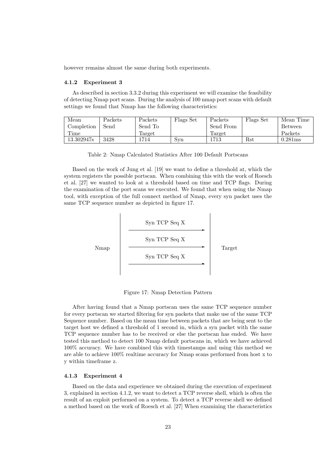however remains almost the same during both experiments.

#### <span id="page-23-0"></span>4.1.2 Experiment [3](#page-20-5)

As described in section [3.3.2](#page-18-0) during this experiment we will examine the feasibility of detecting Nmap port scans. During the analysis of 100 nmap port scans with default settings we found that Nmap has the following characteristics:

<span id="page-23-3"></span>

| Mean       | Packets               | Packets          | Flags Set | Packets   | Flags Set | Mean Time |
|------------|-----------------------|------------------|-----------|-----------|-----------|-----------|
| Completion | $\operatorname{Send}$ | Send To          |           | Send From |           | Between   |
| r ime      |                       | $_{\rm{larget}}$ |           | Target    |           | Packets   |
| 13.302947s | 3428                  | .714             | Svn       | 1713      | Rst       | 0.281ms   |

Table 2: Nmap Calculated Statistics After 100 Default Portscans

Based on the work of Jung et al. [\[19\]](#page-35-7) we want to define a threshold at, which the system registers the possible portscan. When combining this with the work of Roesch et al. [\[27\]](#page-35-11) we wanted to look at a threshold based on time and TCP flags. During the examination of the port scans we executed. We found that when using the Nmap tool, with exception of the full connect method of Nmap, every syn packet uses the same TCP sequence number as depicted in figure [17.](#page-23-2)



Figure 17: Nmap Detection Pattern

<span id="page-23-2"></span>After having found that a Nmap portscan uses the same TCP sequence number for every portscan we started filtering for syn packets that make use of the same TCP Sequence number. Based on the mean time between packets that are being sent to the target host we defined a threshold of 1 second in, which a syn packet with the same TCP sequence number has to be received or else the portscan has ended. We have tested this method to detect 100 Nmap default portscans in, which we have achieved 100% accuracy. We have combined this with timestamps and using this method we are able to achieve 100% realtime accuracy for Nmap scans performed from host x to y within timeframe z.

#### <span id="page-23-1"></span>4.1.3 Experiment [4](#page-20-6)

Based on the data and experience we obtained during the execution of experiment [3,](#page-20-5) explained in section [4.1.2,](#page-23-0) we want to detect a TCP reverse shell, which is often the result of an exploit performed on a system. To detect a TCP reverse shell we defined a method based on the work of Roesch et al. [\[27\]](#page-35-11) When examining the characteristics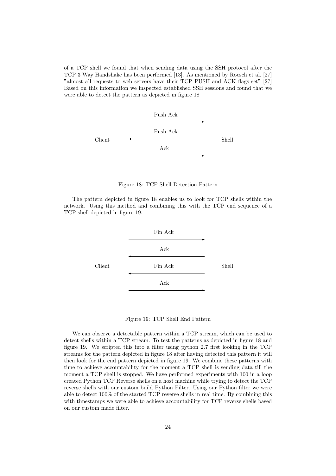of a TCP shell we found that when sending data using the SSH protocol after the TCP 3 Way Handshake has been performed [\[13\]](#page-34-12). As mentioned by Roesch et al. [\[27\]](#page-35-11) "almost all requests to web servers have their TCP PUSH and ACK flags set" [\[27\]](#page-35-11) Based on this information we inspected established SSH sessions and found that we were able to detect the pattern as depicted in figure [18](#page-24-0)



Figure 18: TCP Shell Detection Pattern

<span id="page-24-0"></span>The pattern depicted in figure [18](#page-24-0) enables us to look for TCP shells within the network. Using this method and combining this with the TCP end sequence of a TCP shell depicted in figure [19.](#page-24-1)



Figure 19: TCP Shell End Pattern

<span id="page-24-1"></span>We can observe a detectable pattern within a TCP stream, which can be used to detect shells within a TCP stream. To test the patterns as depicted in figure [18](#page-24-0) and figure [19.](#page-24-1) We scripted this into a filter using python 2.7 first looking in the TCP streams for the pattern depicted in figure [18](#page-24-0) after having detected this pattern it will then look for the end pattern depicted in figure [19.](#page-24-1) We combine these patterns with time to achieve accountability for the moment a TCP shell is sending data till the moment a TCP shell is stopped. We have performed experiments with 100 in a loop created Python TCP Reverse shells on a host machine while trying to detect the TCP reverse shells with our custom build Python Filter. Using our Python filter we were able to detect 100% of the started TCP reverse shells in real time. By combining this with timestamps we were able to achieve accountability for TCP reverse shells based on our custom made filter.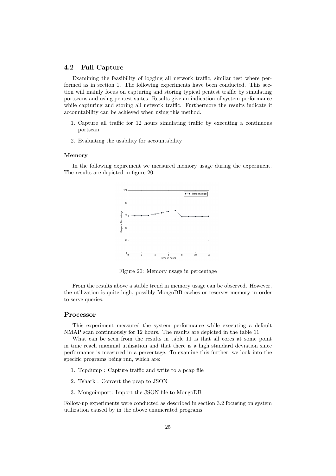#### <span id="page-25-0"></span>4.2 Full Capture

Examining the feasibility of logging all network traffic, similar test where performed as in section [1.](#page-20-3) The following experiments have been conducted. This section will mainly focus on capturing and storing typical pentest traffic by simulating portscans and using pentest suites. Results give an indication of system performance while capturing and storing all network traffic. Furthermore the results indicate if accountability can be achieved when using this method.

- 1. Capture all traffic for 12 hours simulating traffic by executing a continuous portscan
- 2. Evaluating the usability for accountability

#### Memory

In the following expirement we measured memory usage during the experiment. The results are depicted in figure [20.](#page-25-1)



<span id="page-25-1"></span>Figure 20: Memory usage in percentage

From the results above a stable trend in memory usage can be observed. However, the utilization is quite high, possibly MongoDB caches or reserves memory in order to serve queries.

#### Processor

This experiment measured the system performance while executing a default NMAP scan continuously for 12 hours. The results are depicted in the table [11.](#page-45-0)

What can be seen from the results in table [11](#page-45-0) is that all cores at some point in time reach maximal utilization and that there is a high standard deviation since performance is measured in a percentage. To examine this further, we look into the specific programs being run, which are:

- 1. Tcpdump : Capture traffic and write to a pcap file
- 2. Tshark : Convert the pcap to JSON
- 3. Mongoimport: Import the JSON file to MongoDB

Follow-up experiments were conducted as described in section [3.2](#page-10-0) focusing on system utilization caused by in the above enumerated programs.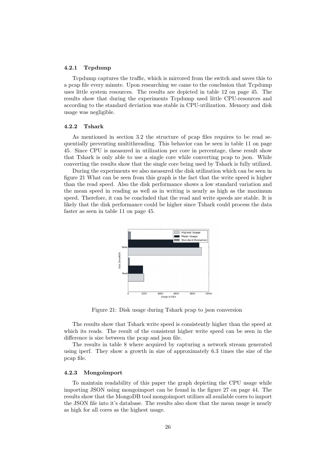#### <span id="page-26-0"></span>4.2.1 Tcpdump

Tcpdump captures the traffic, which is mirrored from the switch and saves this to a pcap file every minute. Upon researching we came to the conclusion that Tcpdump uses little system resources. The results are depicted in table [12](#page-45-1) on page [45.](#page-45-1) The results show that during the experiments Tcpdump used little CPU-resources and according to the standard deviation was stable in CPU-utilization. Memory and disk usage was negligible.

#### <span id="page-26-1"></span>4.2.2 Tshark

As mentioned in section [3.2](#page-10-0) the structure of pcap files requires to be read sequentially preventing multithreading. This behavior can be seen in table [11](#page-45-0) on page [45.](#page-45-0) Since CPU is measured in utilization per core in percentage, these result show that Tshark is only able to use a single core while converting pcap to json. While converting the results show that the single core being used by Tshark is fully utilized.

During the experiments we also measured the disk utilization which can be seen in figure [21](#page-26-3) What can be seen from this graph is the fact that the write speed is higher than the read speed. Also the disk performance shows a low standard variation and the mean speed in reading as well as in writing is nearly as high as the maximum speed. Therefore, it can be concluded that the read and write speeds are stable. It is likely that the disk performance could be higher since Tshark could process the data faster as seen in table [11](#page-45-0) on page [45.](#page-45-0)

<span id="page-26-3"></span>

Figure 21: Disk usage during Tshark pcap to json conversion

The results show that Tshark write speed is consistently higher than the speed at which its reads. The result of the consistent higher write speed can be seen in the difference is size between the pcap and json file.

The results in table [8](#page-45-2) where acquired by capturing a network stream generated using iperf. They show a growth in size of approximately 6.3 times the size of the pcap file.

#### <span id="page-26-2"></span>4.2.3 Mongoimport

To maintain readability of this paper the graph depicting the CPU usage while importing JSON using mongoimport can be found in the figure [27](#page-44-0) on page [44.](#page-44-0) The results show that the MongoDB tool mongoimport utilizes all available cores to import the JSON file into it's database. The results also show that the mean usage is nearly as high for all cores as the highest usage.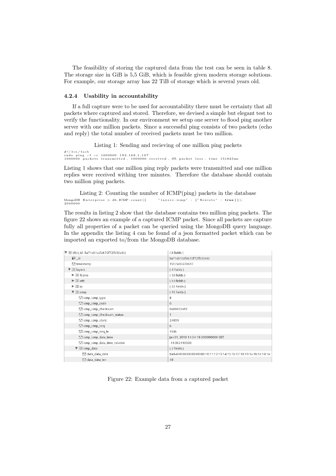The feasibility of storing the captured data from the test can be seen in table [8.](#page-45-1) The storage size in GiB is 5,5 GiB, which is feasible given modern storage solutions. For example, our storage array has 22 TiB of storage which is several years old.

#### <span id="page-27-0"></span>4.2.4 Usability in accountability

If a full capture were to be used for accountability there must be certainty that all packets where captured and stored. Therefore, we devised a simple but elegant test to verify the functionality. In our environment we setup one server to flood ping another server with one million packets. Since a successful ping consists of two packets (echo and reply) the total number of received packets must be two million.

Listing 1: Sending and recieving of one million ping packets

<span id="page-27-2"></span>#!/bin/bash<br>sudo ping −f −c 1000000 192.168.1.107<br>1000000 packets transmitted, 1000000 received, 0% packet loss, time 151825ms

Listing [1](#page-27-2) shows that one million ping reply packets were transmitted and one million replies were received withing tree minutes. Therefore the database should contain two million ping packets.

<span id="page-27-3"></span>Listing 2: Counting the number of ICMP(ping) packets in the database  $" \text{ layers} . \text{icmp" } : \{ " \text{ 8 exists} " : \text{ true } \} \} ) ;$ MongoDB Enterprise > db.ICMP.count({<br>2000000

The results in listing [2](#page-27-3) show that the database contains two million ping packets. The figure [22](#page-27-1) shows an example of a captured ICMP packet. Since all packets are capture fully all properties of a packet can be queried using the MongoDB query language. In the appendix the listing [4](#page-37-1) can be found of a json formatted packet which can be imported an exported to/from the MongoDB database.

| V (0) (9) {_id:5a71c61cafa670f72fb93e6c}   | { 3 fields }                                                           |
|--------------------------------------------|------------------------------------------------------------------------|
| $\equiv$ id                                | 5a71c61cafa670f72fb93e6c                                               |
| "." timestamp                              | 1517405638697                                                          |
| $\nabla$ $\Omega$ layers                   | ${4} fields$                                                           |
| $\triangleright$ $\circlearrowright$ frame | { 13 fields }                                                          |
| $\triangleright$ $\circlearrowright$ eth   | { 13 fields }                                                          |
| $\triangleright$ $\circlearrowright$ ip    | { 22 fields }                                                          |
| $\triangledown$ $\odot$ icmp               | { 10 fields }                                                          |
| icmp_icmp_type                             | 8                                                                      |
| cmp_icmp_code                              | $\circ$                                                                |
| icmp_icmp_checksum                         | 0x00000ef2                                                             |
| icmp_icmp_checksum_status                  | 1                                                                      |
| licmp_icmp_ident                           | 24659                                                                  |
| icmp_icmp_seq                              | 6                                                                      |
| "I icmp_icmp_seq_le                        | 1536                                                                   |
| icmp_icmp_data_time                        | Jan 31, 2018 14:34:18.000000000 CET                                    |
| cmp_icmp_data_time_relative_influit        | -19.302193000                                                          |
| $\triangledown$ (2) icmp_data              | ${2} fields$                                                           |
| "." data data data                         | 8a:b4:00:00:00:00:00:00:10:11:12:13:14:15:16:17:18:19:1a:1b:1c:1d:1e:1 |
| "" data_data_len                           | 48                                                                     |

<span id="page-27-1"></span>Figure 22: Example data from a captured packet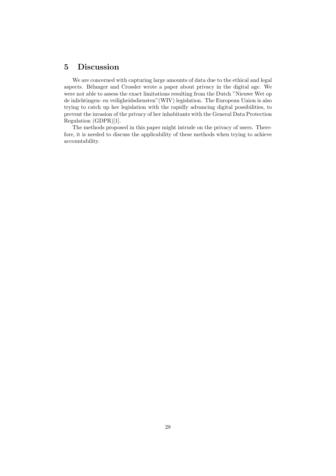# <span id="page-28-0"></span>5 Discussion

We are concerned with capturing large amounts of data due to the ethical and legal aspects. Bélanger and Crossler wrote a paper about privacy in the digital age. We were not able to assess the exact limitations resulting from the Dutch "Nieuwe Wet op de inlichtingen- en veiligheidsdiensten"(WIV) legislation. The European Union is also trying to catch up her legislation with the rapidly advancing digital possibilities, to prevent the invasion of the privacy of her inhabitants with the General Data Protection Regulation (GDPR)[\[1\]](#page-34-14).

The methods proposed in this paper might intrude on the privacy of users. Therefore, it is needed to discuss the applicability of these methods when trying to achieve accountability.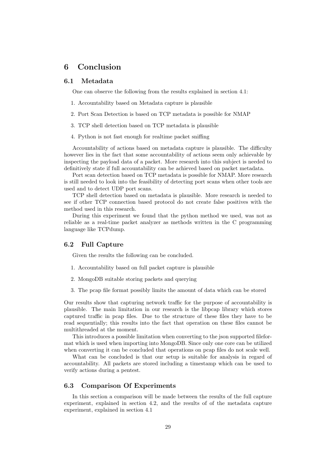# <span id="page-29-0"></span>6 Conclusion

#### <span id="page-29-1"></span>6.1 Metadata

One can observe the following from the results explained in section [4.1:](#page-20-1)

- 1. Accountability based on Metadata capture is plausible
- 2. Port Scan Detection is based on TCP metadata is possible for NMAP
- 3. TCP shell detection based on TCP metadata is plausible
- 4. Python is not fast enough for realtime packet sniffing

Accountability of actions based on metadata capture is plausible. The difficulty however lies in the fact that some accountability of actions seem only achievable by inspecting the payload data of a packet. More research into this subject is needed to definitively state if full accountability can be achieved based on packet metadata.

Port scan detection based on TCP metadata is possible for NMAP. More research is still needed to look into the feasibility of detecting port scans when other tools are used and to detect UDP port scans.

TCP shell detection based on metadata is plausible. More research is needed to see if other TCP connection based protocol do not create false positives with the method used in this research.

During this experiment we found that the python method we used, was not as reliable as a real-time packet analyzer as methods written in the C programming language like TCPdump.

#### <span id="page-29-2"></span>6.2 Full Capture

Given the results the following can be concluded.

- 1. Accountability based on full packet capture is plausible
- 2. MongoDB suitable storing packets and querying
- 3. The pcap file format possibly limits the amount of data which can be stored

Our results show that capturing network traffic for the purpose of accountability is plausible. The main limitation in our research is the libpcap library which stores captured traffic in pcap files. Due to the structure of these files they have to be read sequentially; this results into the fact that operation on these files cannot be multithreaded at the moment.

This introduces a possible limitation when converting to the json supported fileformat which is used when importing into MongoDB. Since only one core can be utilized when converting it can be concluded that operations on pcap files do not scale well.

What can be concluded is that our setup is suitable for analysis in regard of accountability. All packets are stored including a timestamp which can be used to verify actions during a pentest.

#### <span id="page-29-3"></span>6.3 Comparison Of Experiments

In this section a comparison will be made between the results of the full capture experiment, explained in section [4.2,](#page-25-0) and the results of of the metadata capture experiment, explained in section [4.1](#page-20-1)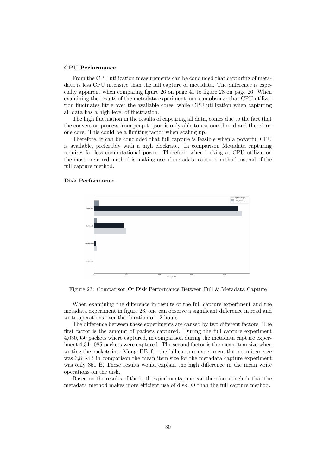#### CPU Performance

From the CPU utilization measurements can be concluded that capturing of metadata is less CPU intensive than the full capture of metadata. The difference is especially apparent when comparing figure [26](#page-41-0) on page [41](#page-41-0) to figure [28](#page-46-0) on page [26.](#page-41-0) When examining the results of the metadata experiment, one can observe that CPU utilization fluctuates little over the available cores, while CPU utilization when capturing all data has a high level of fluctuation.

The high fluctuation in the results of capturing all data, comes due to the fact that the conversion process from pcap to json is only able to use one thread and therefore, one core. This could be a limiting factor when scaling up.

Therefore, it can be concluded that full capture is feasible when a powerful CPU is available, preferably with a high clockrate. In comparison Metadata capturing requires far less computational power. Therefore, when looking at CPU utilization the most preferred method is making use of metadata capture method instead of the full capture method.

#### <span id="page-30-1"></span>Disk Performance



<span id="page-30-0"></span>Figure 23: Comparison Of Disk Performance Between Full & Metadata Capture

When examining the difference in results of the full capture experiment and the metadata experiment in figure [23,](#page-30-0) one can observe a significant difference in read and write operations over the duration of 12 hours.

The difference between these experiments are caused by two different factors. The first factor is the amount of packets captured. During the full capture experiment 4,030,050 packets where captured, in comparison during the metadata capture experiment 4,341,085 packets were captured. The second factor is the mean item size when writing the packets into MongoDB, for the full capture experiment the mean item size was 3,8 KiB in comparison the mean item size for the metadata capture experiment was only 351 B. These results would explain the high difference in the mean write operations on the disk.

Based on the results of the both experiments, one can therefore conclude that the metadata method makes more efficient use of disk IO than the full capture method.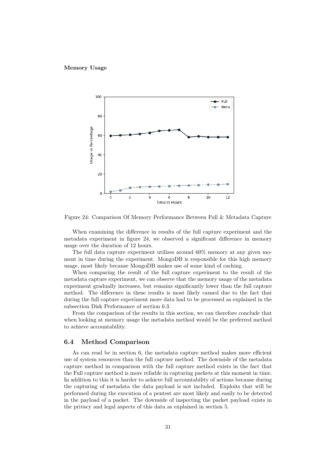#### Memory Usage



<span id="page-31-1"></span>Figure 24: Comparison Of Memory Performance Between Full & Metadata Capture

When examining the difference in results of the full capture experiment and the metadata experiment in figure [24,](#page-31-1) we observed a significant difference in memory usage over the duration of 12 hours.

The full data capture experiment utilizes around 60% memory at any given moment in time during the experiment. MongoDB is responsible for this high memory usage, most likely because MongoDB makes use of some kind of caching.

When comparing the result of the full capture experiment to the result of the metadata capture experiment, we can observe that the memory usage of the metadata experiment gradually increases, but remains significantly lower than the full capture method. The difference in these results is most likely caused due to the fact that during the full capture experiment more data had to be processed as explained in the subsection Disk Performance of section [6.3.](#page-30-1)

From the comparison of the results in this section, we can therefore conclude that when looking at memory usage the metadata method would be the preferred method to achieve accountability.

#### <span id="page-31-0"></span>6.4 Method Comparison

As can read be in section [6,](#page-29-0) the metadata capture method makes more efficient use of system resources than the full capture method. The downside of the metadata capture method in comparison with the full capture method exists in the fact that the Full capture method is more reliable in capturing packets at this moment in time. In addition to this it is harder to achieve full accountability of actions because during the capturing of metadata the data payload is not included. Exploits that will be performed during the execution of a pentest are most likely and easily to be detected in the payload of a packet. The downside of inspecting the packet payload exists in the privacy and legal aspects of this data as explained in section [5.](#page-28-0)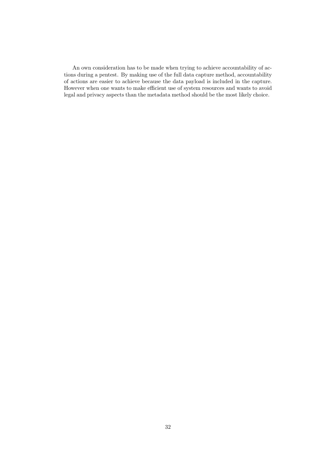An own consideration has to be made when trying to achieve accountability of actions during a pentest. By making use of the full data capture method, accountability of actions are easier to achieve because the data payload is included in the capture. However when one wants to make efficient use of system resources and wants to avoid legal and privacy aspects than the metadata method should be the most likely choice.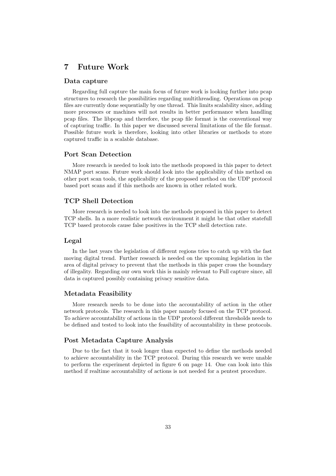# <span id="page-33-0"></span>7 Future Work

#### Data capture

Regarding full capture the main focus of future work is looking further into pcap structures to research the possibilities regarding multithreading. Operations on pcap files are currently done sequentially by one thread. This limits scalability since, adding more processors or machines will not results in better performance when handling pcap files. The libpcap and therefore, the pcap file format is the conventional way of capturing traffic. In this paper we discussed several limitations of the file format. Possible future work is therefore, looking into other libraries or methods to store captured traffic in a scalable database.

#### Port Scan Detection

More research is needed to look into the methods proposed in this paper to detect NMAP port scans. Future work should look into the applicability of this method on other port scan tools, the applicability of the proposed method on the UDP protocol based port scans and if this methods are known in other related work.

#### TCP Shell Detection

More research is needed to look into the methods proposed in this paper to detect TCP shells. In a more realistic network environment it might be that other statefull TCP based protocols cause false positives in the TCP shell detection rate.

#### Legal

In the last years the legislation of different regions tries to catch up with the fast moving digital trend. Further research is needed on the upcoming legislation in the area of digital privacy to prevent that the methods in this paper cross the boundary of illegality. Regarding our own work this is mainly relevant to Full capture since, all data is captured possibly containing privacy sensitive data.

#### Metadata Feasibility

More research needs to be done into the accountability of action in the other network protocols. The research in this paper namely focused on the TCP protocol. To achieve accountability of actions in the UDP protocol different thresholds needs to be defined and tested to look into the feasibility of accountability in these protocols.

#### Post Metadata Capture Analysis

Due to the fact that it took longer than expected to define the methods needed to achieve accountability in the TCP protocol. During this research we were unable to perform the experiment depicted in figure [6](#page-14-1) on page [14.](#page-14-1) One can look into this method if realtime accountability of actions is not needed for a pentest procedure.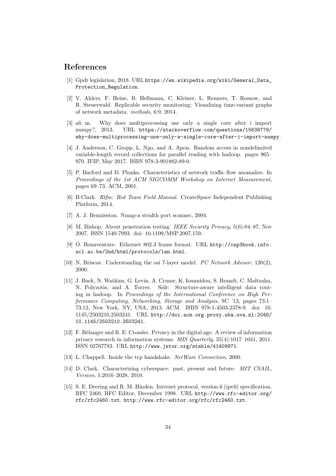### References

- <span id="page-34-14"></span>[1] Gpdr legislation, 2018. URL [https://en.wikipedia.org/wiki/General\\_Data\\_](https://en.wikipedia.org/wiki/General_Data_Protection_Regulation) [Protection\\_Regulation](https://en.wikipedia.org/wiki/General_Data_Protection_Regulation).
- <span id="page-34-4"></span>[2] V. Ahlers, F. Heine, B. Hellmann, C. Kleiner, L. Renners, T. Rossow, and R. Steuerwald. Replicable security monitoring: Visualizing time-variant graphs of network metadata. methods, 6:9, 2014.
- <span id="page-34-11"></span>[3] ali m. Why does multiprocessing use only a single core after i import numpy?, 2013. URL [https://stackoverflow.com/questions/15639779/](https://stackoverflow.com/questions/15639779/why-does-multiprocessing-use-only-a-single-core-after-i-import-numpy) [why-does-multiprocessing-use-only-a-single-core-after-i-import-numpy](https://stackoverflow.com/questions/15639779/why-does-multiprocessing-use-only-a-single-core-after-i-import-numpy).
- <span id="page-34-7"></span>[4] J. Anderson, C. Gropp, L. Ngo, and A. Apon. Random access in nondelimited variable-length record collections for parallel reading with hadoop. pages 965– 970. IFIP, May 2017. ISBN 978-3-901882-89-0.
- <span id="page-34-5"></span>[5] P. Barford and D. Plonka. Characteristics of network traffic flow anomalies. In Proceedings of the 1st ACM SIGCOMM Workshop on Internet Measurement, pages 69–73. ACM, 2001.
- <span id="page-34-9"></span>[6] B.Clark. Rtfm: Red Team Field Manual. CreateSpace Independent Publishing Platform, 2014.
- <span id="page-34-10"></span>[7] A. J. Bennieston. Nmap-a stealth port scanner, 2004.
- <span id="page-34-3"></span>[8] M. Bishop. About penetration testing. IEEE Security Privacy, 5(6):84–87, Nov 2007. ISSN 1540-7993. doi: 10.1109/MSP.2007.159.
- <span id="page-34-1"></span>[9] O. Bonaventure. Ethernet 802.3 frame format. URL [http://cnp3book.info.](http://cnp3book.info.ucl.ac.be/2nd/html/protocols/lan.html) [ucl.ac.be/2nd/html/protocols/lan.html](http://cnp3book.info.ucl.ac.be/2nd/html/protocols/lan.html).
- <span id="page-34-0"></span>[10] N. Briscoe. Understanding the osi 7-layer model. PC Network Advisor, 120(2), 2000.
- <span id="page-34-8"></span>[11] J. Buck, N. Watkins, G. Levin, A. Crume, K. Ioannidou, S. Brandt, C. Maltzahn, N. Polyzotis, and A. Torres. Sidr: Structure-aware intelligent data routing in hadoop. In Proceedings of the International Conference on High Performance Computing, Networking, Storage and Analysis, SC '13, pages 73:1– 73:12, New York, NY, USA, 2013. ACM. ISBN 978-1-4503-2378-9. doi: 10. 1145/2503210.2503241. URL [http://doi.acm.org.proxy.uba.uva.nl:2048/](http://doi.acm.org.proxy.uba.uva.nl:2048/10.1145/2503210.2503241) [10.1145/2503210.2503241](http://doi.acm.org.proxy.uba.uva.nl:2048/10.1145/2503210.2503241).
- <span id="page-34-13"></span>[12] F. B´elanger and R. E. Crossler. Privacy in the digital age: A review of information privacy research in information systems. MIS Quarterly, 35(4):1017–1041, 2011. ISSN 02767783. URL <http://www.jstor.org/stable/41409971>.
- <span id="page-34-12"></span>[13] L. Chappell. Inside the tcp handshake. NetWare Connection, 2000.
- <span id="page-34-6"></span>[14] D. Clark. Characterizing cyberspace: past, present and future. MIT CSAIL, Version, 1:2016–2028, 2010.
- <span id="page-34-2"></span>[15] S. E. Deering and R. M. Hinden. Internet protocol, version 6 (ipv6) specification. RFC 2460, RFC Editor, December 1998. URL [http://www.rfc-editor.org/](http://www.rfc-editor.org/rfc/rfc2460.txt) [rfc/rfc2460.txt](http://www.rfc-editor.org/rfc/rfc2460.txt). <http://www.rfc-editor.org/rfc/rfc2460.txt>.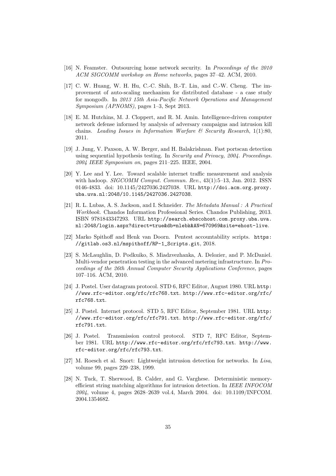- <span id="page-35-6"></span>[16] N. Feamster. Outsourcing home network security. In Proceedings of the 2010 ACM SIGCOMM workshop on Home networks, pages 37–42. ACM, 2010.
- <span id="page-35-9"></span>[17] C. W. Huang, W. H. Hu, C.-C. Shih, B.-T. Lin, and C.-W. Cheng. The improvement of auto-scaling mechanism for distributed database - a case study for mongodb. In 2013 15th Asia-Pacific Network Operations and Management Symposium (APNOMS), pages 1–3, Sept 2013.
- <span id="page-35-3"></span>[18] E. M. Hutchins, M. J. Cloppert, and R. M. Amin. Intelligence-driven computer network defense informed by analysis of adversary campaigns and intrusion kill chains. Leading Issues in Information Warfare  $\mathcal C$  Security Research, 1(1):80, 2011.
- <span id="page-35-7"></span>[19] J. Jung, V. Paxson, A. W. Berger, and H. Balakrishnan. Fast portscan detection using sequential hypothesis testing. In Security and Privacy, 2004. Proceedings. 2004 IEEE Symposium on, pages 211–225. IEEE, 2004.
- <span id="page-35-5"></span>[20] Y. Lee and Y. Lee. Toward scalable internet traffic measurement and analysis with hadoop. *SIGCOMM Comput. Commun. Rev.*, 43(1):5–13, Jan. 2012. ISSN 0146-4833. doi: 10.1145/2427036.2427038. URL [http://doi.acm.org.proxy.](http://doi.acm.org.proxy.uba.uva.nl:2048/10.1145/2427036.2427038) [uba.uva.nl:2048/10.1145/2427036.2427038](http://doi.acm.org.proxy.uba.uva.nl:2048/10.1145/2427036.2427038).
- <span id="page-35-10"></span>[21] R. L. Lubas, A. S. Jackson, and I. Schneider. The Metadata Manual : A Practical Workbook. Chandos Information Professional Series. Chandos Publishing, 2013. ISBN 9781843347293. URL [http://search.ebscohost.com.proxy.uba.uva.](http://search.ebscohost.com.proxy.uba.uva.nl:2048/login.aspx?direct=true&db=nlebk&AN=670969&site=ehost-live) [nl:2048/login.aspx?direct=true&db=nlebk&AN=670969&site=ehost-live](http://search.ebscohost.com.proxy.uba.uva.nl:2048/login.aspx?direct=true&db=nlebk&AN=670969&site=ehost-live).
- <span id="page-35-12"></span>[22] Marko Spithoff and Henk van Doorn. Pentest accountability scripts. [https:](https://gitlab.os3.nl/mspithoff/RP-1_Scripts.git) [//gitlab.os3.nl/mspithoff/RP-1\\_Scripts.git](https://gitlab.os3.nl/mspithoff/RP-1_Scripts.git), 2018.
- <span id="page-35-4"></span>[23] S. McLaughlin, D. Podkuiko, S. Miadzvezhanka, A. Delozier, and P. McDaniel. Multi-vendor penetration testing in the advanced metering infrastructure. In Proceedings of the 26th Annual Computer Security Applications Conference, pages 107–116. ACM, 2010.
- <span id="page-35-2"></span>[24] J. Postel. User datagram protocol. STD 6, RFC Editor, August 1980. URL [http:](http://www.rfc-editor.org/rfc/rfc768.txt) [//www.rfc-editor.org/rfc/rfc768.txt](http://www.rfc-editor.org/rfc/rfc768.txt). [http://www.rfc-editor.org/rfc/](http://www.rfc-editor.org/rfc/rfc768.txt) [rfc768.txt](http://www.rfc-editor.org/rfc/rfc768.txt).
- <span id="page-35-0"></span>[25] J. Postel. Internet protocol. STD 5, RFC Editor, September 1981. URL [http:](http://www.rfc-editor.org/rfc/rfc791.txt) [//www.rfc-editor.org/rfc/rfc791.txt](http://www.rfc-editor.org/rfc/rfc791.txt). [http://www.rfc-editor.org/rfc/](http://www.rfc-editor.org/rfc/rfc791.txt) [rfc791.txt](http://www.rfc-editor.org/rfc/rfc791.txt).
- <span id="page-35-1"></span>[26] J. Postel. Transmission control protocol. STD 7, RFC Editor, September 1981. URL <http://www.rfc-editor.org/rfc/rfc793.txt>. [http://www.](http://www.rfc-editor.org/rfc/rfc793.txt) [rfc-editor.org/rfc/rfc793.txt](http://www.rfc-editor.org/rfc/rfc793.txt).
- <span id="page-35-11"></span>[27] M. Roesch et al. Snort: Lightweight intrusion detection for networks. In Lisa, volume 99, pages 229–238, 1999.
- <span id="page-35-8"></span>[28] N. Tuck, T. Sherwood, B. Calder, and G. Varghese. Deterministic memoryefficient string matching algorithms for intrusion detection. In IEEE INFOCOM 2004, volume 4, pages 2628–2639 vol.4, March 2004. doi: 10.1109/INFCOM. 2004.1354682.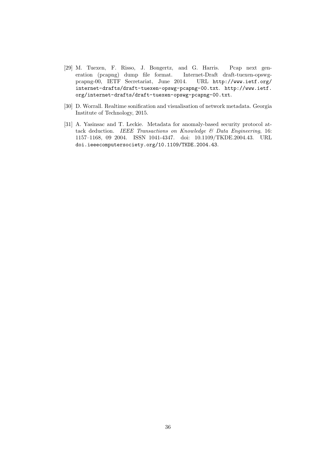- <span id="page-36-0"></span>[29] M. Tuexen, F. Risso, J. Bongertz, and G. Harris. Pcap next generation (pcapng) dump file format. Internet-Draft draft-tuexen-opswgpcapng-00, IETF Secretariat, June 2014. URL [http://www.ietf.org/](http://www.ietf.org/internet-drafts/draft-tuexen-opswg-pcapng-00.txt) [internet-drafts/draft-tuexen-opswg-pcapng-00.txt](http://www.ietf.org/internet-drafts/draft-tuexen-opswg-pcapng-00.txt). [http://www.ietf.](http://www.ietf.org/internet-drafts/draft-tuexen-opswg-pcapng-00.txt) [org/internet-drafts/draft-tuexen-opswg-pcapng-00.txt](http://www.ietf.org/internet-drafts/draft-tuexen-opswg-pcapng-00.txt).
- <span id="page-36-1"></span>[30] D. Worrall. Realtime sonification and visualisation of network metadata. Georgia Institute of Technology, 2015.
- <span id="page-36-2"></span>[31] A. Yasinsac and T. Leckie. Metadata for anomaly-based security protocol attack deduction. IEEE Transactions on Knowledge & Data Engineering, 16: 1157–1168, 09 2004. ISSN 1041-4347. doi: 10.1109/TKDE.2004.43. URL <doi.ieeecomputersociety.org/10.1109/TKDE.2004.43>.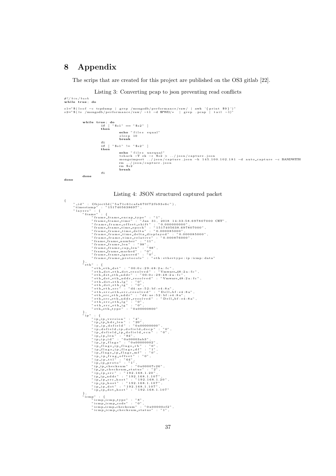# <span id="page-37-0"></span>8 Appendix

f i

done

done

<span id="page-37-1"></span>{

The scrips that are created for this project are published on the OS3 gitlab [\[22\]](#page-35-12).

#### Listing 3: Converting pcap to json preventing read conflicts

```
#!/bin/bash<br>while true; do
```

```
s1="$(lsof -c tcpdump | grep /mongodb/performance/raw/ | awk '{print $9}')"<br>s2="$(ls /mongodb/performance/raw/ -t1 -d $PWD/* | grep .pcap | tail -1)"
                while true; do<br>
if [ "\$s1" == "\$s2" ]<br>
then
                                                echo " files equal"
                                                 sleep 10<br>break
                                 f i
i f [ " $ s1 " != " $ s2 " ]
then
                                                 echo "files unequal"<br>tshark —Tek — r $s2 > ../json/capture.json<br>mongoimport ../json/capture.json —h 145.100.102.181 —d auto_capture —c BANDWITH<br>rm ../json/capture.json<br>rm $s2<br>break
```


```
"_id" : ObjectId("5a71c61cafa670f72fb93e6c"),<br>"timestamp" : "1517405638697",
" layers" : {<br>" frame" : {
                            "frame_frame_encap_type" : "1",<br>"frame_frame_encap_type" : "1",<br>"frame_frame_time" : "Jan 31, 2018 14:33:58.697807000 CET",<br>"frame_frame_time_epoch" : "1517405638.697807000",<br>"frame_frame_time_electa" : "0.0000858000",<br>"f
              },<br>" eth" : {
                            " et h _e t h _d s t " : " 00 : 0 c : 2 9 : 4 8 : 2 a : f c " ,
              "eth-dst_eth-dst_resolved" : "Vmware.48:2a:fc",<br>"eth-dst_eth-addr" : "00:0c:29:48:2a:fc",<br>"eth-dst_eth-addr" : "00:0c:29:48:2a:fc",<br>"eth-dst_eth-laddr_resolved" : "Vmware.48:2a:fc",<br>"eth-dst_eth-lg" : "0",<br>"eth-dst_eth-ig
              "p_ip_hdr_len" "20",<br>"p_ip_dsfield" "0x00000000",<br>"ip_ip_dsfield" "0x00000000",<br>"p_dsfield_ip_dsfield_dscp" : "0",<br>"p_dsfield_ip_dsfield_ecn" : "0",<br>"p_ip_len" : "84",<br>"p_ip_id" : "0x000000029",<br>"p_ip_id" : "84",<br>"p_ip_id
                            "icmp_icmp_code" : "0",<br>"icmp_icmp_checksum" : "0x00000ef2",<br>"icmp_icmp_checksum_status" : "1",
```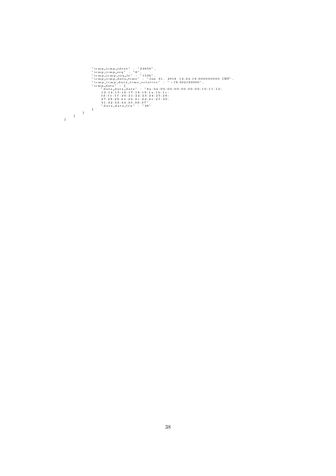```
"iempliempliemt" : "24659",<br>"iempliempliemt" : "24659",<br>"iempliempliempliem" : "1536",<br>"iempliempliempliem" : "Jan 31, 2018 14:34:18.000000000 CET",<br>"iempliemplatatime-relative" : "-19.302193000",<br>"iempliemplatatime-relati
}
}
}
```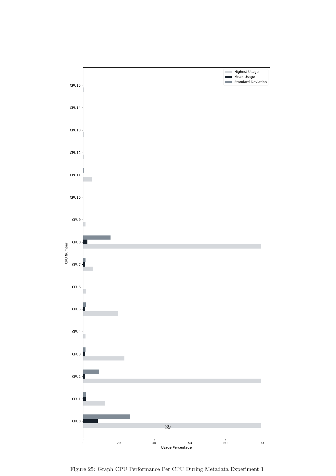

<span id="page-39-0"></span>Figure 25: Graph CPU Performance Per CPU During Metadata Experiment 1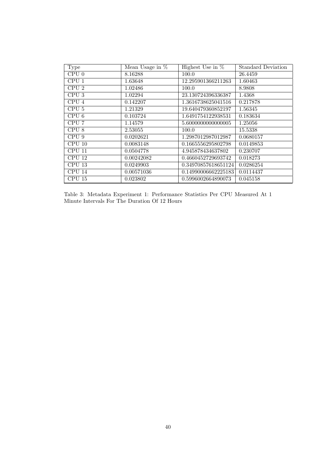| <b>Type</b>      | Mean Usage in $%$ | Highest Use in $%$  | <b>Standard Deviation</b> |
|------------------|-------------------|---------------------|---------------------------|
| CPU 0            | 8.16288           | 100.0               | 26.4459                   |
| CPU <sub>1</sub> | 1.63648           | 12.295901366211263  | 1.60463                   |
| CPU <sub>2</sub> | 1.02486           | 100.0               | 8.9808                    |
| CPU <sub>3</sub> | 1.02294           | 23.130724396336387  | 1.4368                    |
| CPU <sub>4</sub> | 0.142207          | 1.3616738625041516  | 0.217878                  |
| CPU <sub>5</sub> | 1.21329           | 19.640479360852197  | 1.56345                   |
| CPU <sub>6</sub> | 0.103724          | 1.6491754122938531  | 0.183634                  |
| CPU 7            | 1.14579           | 5.6000000000000005  | 1.25056                   |
| CPU <sub>8</sub> | 2.53055           | 100.0               | 15.5338                   |
| CPU 9            | 0.0202621         | 1.2987012987012987  | 0.0680157                 |
| CPU 10           | 0.0083148         | 0.1665556295802798  | 0.0149853                 |
| CPU 11           | 0.0504778         | 4.945878434637802   | 0.230707                  |
| CPU 12           | 0.00242082        | 0.4660452729693742  | 0.018273                  |
| CPU 13           | 0.0249903         | 0.34970857618651124 | 0.0286254                 |
| CPU 14           | 0.00571036        | 0.14990006662225183 | 0.0114437                 |
| CPU 15           | 0.023802          | 0.5996002664890073  | 0.045158                  |

<span id="page-40-0"></span>Table 3: Metadata Experiment 1: Performance Statistics Per CPU Measured At 1 Minute Intervals For The Duration Of 12 Hours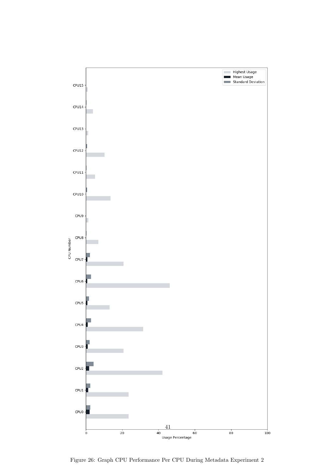

<span id="page-41-0"></span>Figure 26: Graph CPU Performance Per CPU During Metadata Experiment 2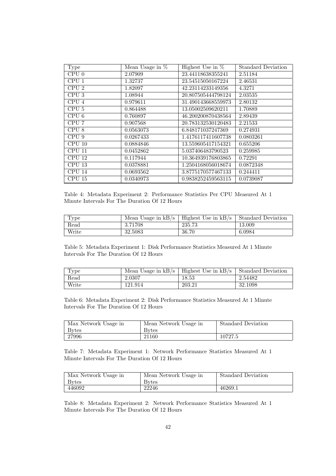| Type                       | Mean Usage in $%$ | Highest Use in $%$ | <b>Standard Deviation</b> |
|----------------------------|-------------------|--------------------|---------------------------|
| CPU 0                      | 2.07909           | 23.44118638355241  | 2.51184                   |
| CPU <sub>1</sub>           | 1.32737           | 23.54515050167224  | 2.46531                   |
| CPU <sub>2</sub>           | 1.82097           | 42.23114233149356  | 4.3271                    |
| CPU <sub>3</sub>           | 1.08944           | 20.807505444798124 | 2.03535                   |
| CPU 4                      | 0.979611          | 31.490143668559973 | 2.80132                   |
| CPU <sub>5</sub>           | 0.864488          | 13.05002509620211  | 1.70889                   |
| CPU <sub>6</sub>           | 0.760897          | 46.200200870438564 | 2.89439                   |
| CPU 7                      | 0.907568          | 20.783132530120483 | 2.21533                   |
| CPU <sub>8</sub>           | 0.0563073         | 6.848171037247369  | 0.274931                  |
| CPU <sub>9</sub>           | 0.0267433         | 1.4176117411607738 | 0.0803261                 |
| $\overline{\text{CPU 10}}$ | 0.0884846         | 13.559605417154321 | 0.655206                  |
| CPU 11                     | 0.0452862         | 5.037406483790523  | 0.259985                  |
| CPU 12                     | 0.117944          | 10.364939176803865 | 0.72291                   |
| CPU 13                     | 0.0378881         | 1.2504168056018674 | 0.0872348                 |
| CPU 14                     | 0.0693562         | 3.8775170577467133 | 0.244411                  |
| CPU 15                     | 0.0340973         | 0.9838252459563115 | 0.0739087                 |

<span id="page-42-0"></span>Table 4: Metadata Experiment 2: Performance Statistics Per CPU Measured At 1 Minute Intervals For The Duration Of 12 Hours

| Type                  | Mean Usage in $kB$ /s | Highest Use in $kB$ /s | Standard Deviation |
|-----------------------|-----------------------|------------------------|--------------------|
| $\operatorname{Read}$ | 3.71708               | 235.73                 | 13.009             |
| Write                 | 32.5083               | 36.70                  | 6.0984             |

<span id="page-42-1"></span>Table 5: Metadata Experiment 1: Disk Performance Statistics Measured At 1 Minute Intervals For The Duration Of 12 Hours

| Type                  | Mean Usage in $kB/s$ | Highest Use in $kB$ /s | Standard Deviation |
|-----------------------|----------------------|------------------------|--------------------|
| $\operatorname{Read}$ | 2.0307               | 18.53                  | 2.54482            |
| Write                 | 121.914              | 203.21                 | 32.1098            |

<span id="page-42-2"></span>Table 6: Metadata Experiment 2: Disk Performance Statistics Measured At 1 Minute Intervals For The Duration Of 12 Hours

<span id="page-42-3"></span>

| Max Network Usage in | Mean Network Usage in | <b>Standard Deviation</b> |
|----------------------|-----------------------|---------------------------|
| <b>Bytes</b>         | <b>Bytes</b>          |                           |
| 27996                | 21160                 | 10727.5                   |

Table 7: Metadata Experiment 1: Network Performance Statistics Measured At 1 Minute Intervals For The Duration Of 12 Hours

<span id="page-42-4"></span>

| Max Network Usage in | Mean Network Usage in | Standard Deviation |
|----------------------|-----------------------|--------------------|
| <b>Bytes</b>         | <b>Bytes</b>          |                    |
| 446092               | 22246                 | 46269.1            |

Table 8: Metadata Experiment 2: Network Performance Statistics Measured At 1 Minute Intervals For The Duration Of 12 Hours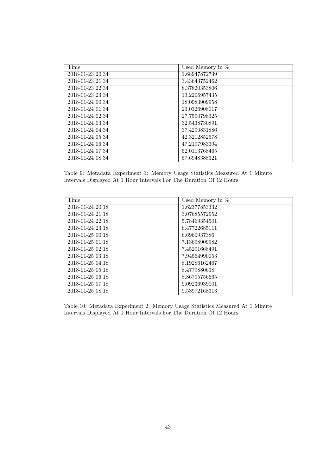| Time             | Used Memory in $%$ |
|------------------|--------------------|
| 2018-01-23 20:34 | 1.68947872739      |
| 2018-01-23 21:34 | 3.43643752462      |
| 2018-01-23 22:34 | 8.37820353806      |
| 2018-01-23 23:34 | 13.2206957435      |
| 2018-01-24 00:34 | 18.0983909958      |
| 2018-01-24 01:34 | 23.0326908017      |
| 2018-01-24 02:34 | 27.7590798325      |
| 2018-01-24 03:34 | 32.5438730891      |
| 2018-01-24 04:34 | 37.4290831886      |
| 2018-01-24 05:34 | 42.3212852578      |
| 2018-01-24 06:34 | 47.2197983394      |
| 2018-01-24 07:34 | 52.0113768465      |
| 2018-01-24 08:34 | 57.6948388321      |

<span id="page-43-0"></span>Table 9: Metadata Experiment 1: Memory Usage Statistics Measured At 1 Minute Intervals Displayed At 1 Hour Intervals For The Duration Of 12 Hours

| Time             | Used Memory in $\%$ |
|------------------|---------------------|
| 2018-01-24 20:18 | 1.62377853332       |
| 2018-01-24 21:18 | 3.07685572952       |
| 2018-01-24 22:18 | 5.78469354501       |
| 2018-01-24 23:18 | 6.47722685111       |
| 2018-01-25 00:18 | 6.6960937386        |
| 2018-01-25 01:18 | 7.13698909982       |
| 2018-01-25 02:18 | 7.45291668491       |
| 2018-01-25 03:18 | 7.94564990053       |
| 2018-01-25 04:18 | 8.19286162467       |
| 2018-01-25 05:18 | 8.4779880638        |
| 2018-01-25 06:18 | 8.86795756665       |
| 2018-01-25 07:18 | 9.09236939001       |
| 2018-01-25 08:18 | 9.53972168313       |

<span id="page-43-1"></span>Table 10: Metadata Experiment 2: Memory Usage Statistics Measured At 1 Minute Intervals Displayed At 1 Hour Intervals For The Duration Of 12 Hours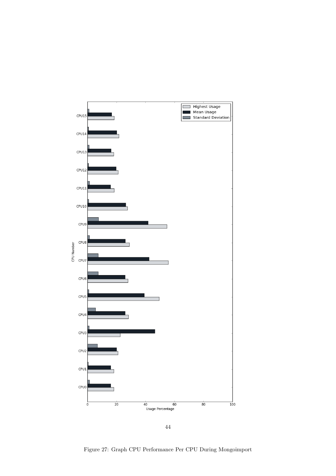

<span id="page-44-0"></span>44

Figure 27: Graph CPU Performance Per CPU During Mongoimport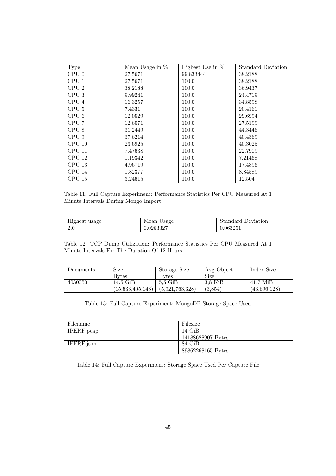| Type             | Mean Usage in $%$ | Highest Use in $%$ | <b>Standard Deviation</b> |
|------------------|-------------------|--------------------|---------------------------|
| CPU 0            | 27.5671           | 99.833444          | 38.2188                   |
| CPU <sub>1</sub> | 27.5671           | 100.0              | 38.2188                   |
| CPU <sub>2</sub> | 38.2188           | 100.0              | 36.9437                   |
| CPU <sub>3</sub> | 9.99241           | 100.0              | 24.4719                   |
| CPU 4            | 16.3257           | 100.0              | 34.8598                   |
| CPU <sub>5</sub> | 7.4331            | 100.0              | 20.4161                   |
| CPU <sub>6</sub> | 12.0529           | 100.0              | 29.6994                   |
| CPU 7            | 12.6071           | 100.0              | 27.5199                   |
| CPU 8            | 31.2449           | 100.0              | 44.3446                   |
| CPU 9            | 37.6214           | 100.0              | 40.4369                   |
| CPU 10           | 23.6925           | 100.0              | 40.3025                   |
| CPU 11           | 7.47638           | 100.0              | 22.7909                   |
| CPU 12           | 1.19342           | 100.0              | 7.21468                   |
| CPU 13           | 4.96719           | 100.0              | 17.4896                   |
| CPU 14           | 1.82377           | 100.0              | 8.84589                   |
| CPU 15           | 3.24615           | 100.0              | 12.504                    |

<span id="page-45-0"></span>Table 11: Full Capture Experiment: Performance Statistics Per CPU Measured At 1 Minute Intervals During Mongo Import

<span id="page-45-1"></span>

| TT.<br>usage<br><b>Highest</b> | Usage<br>Mean | Standard Deviation |
|--------------------------------|---------------|--------------------|
| 2.0                            | 0.0263327     | 0.06325            |

Table 12: TCP Dump Utilization: Performance Statistics Per CPU Measured At 1 Minute Intervals For The Duration Of 12 Hours

<span id="page-45-2"></span>

| Documents | Size              | Storage Size    | Avg Object | Index Size   |
|-----------|-------------------|-----------------|------------|--------------|
|           | <b>Bytes</b>      | Bytes           | Size       |              |
| 4030050   | $14.5\text{ GiB}$ | $5.5\;$ GiB     | 3.8 KiB    | $41.7$ MiB   |
|           | (15,533,405,143)  | (5,921,763,328) | (3.854)    | (43,696,128) |

Table 13: Full Capture Experiment: MongoDB Storage Space Used

| Filename   | Filesize          |
|------------|-------------------|
| IPERF.pcap | $14 \text{ GiB}$  |
|            | 14188688907 Bytes |
| IPERF.json | 84 GiB            |
|            | 89862268165 Bytes |

<span id="page-45-3"></span>Table 14: Full Capture Experiment: Storage Space Used Per Capture File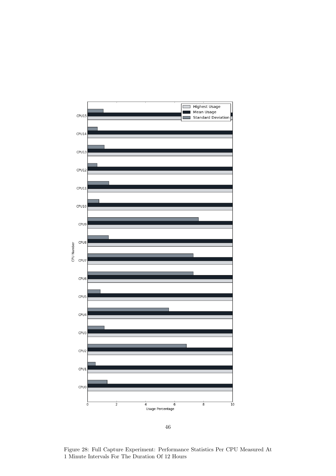

<span id="page-46-0"></span>46

Figure 28: Full Capture Experiment: Performance Statistics Per CPU Measured At 1 Minute Intervals For The Duration Of 12 Hours